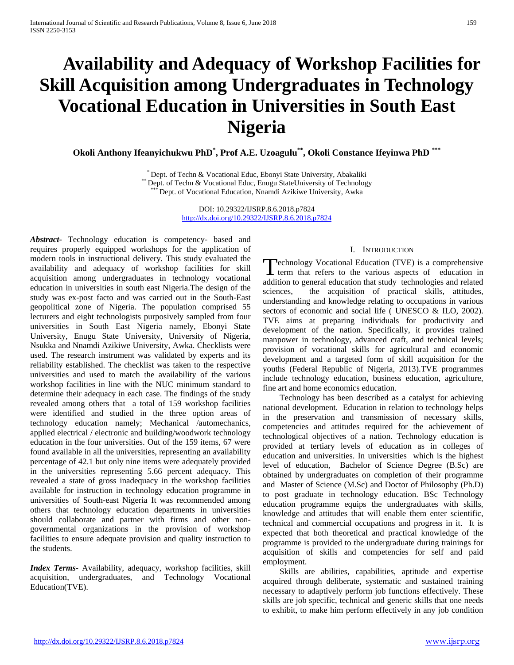# **Availability and Adequacy of Workshop Facilities for Skill Acquisition among Undergraduates in Technology Vocational Education in Universities in South East Nigeria**

**Okoli Anthony Ifeanyichukwu PhD\* , Prof A.E. Uzoagulu\*\*, Okoli Constance Ifeyinwa PhD \*\*\***

\* Dept. of Techn & Vocational Educ, Ebonyi State University, Abakaliki \*\* Dept. of Techn & Vocational Educ, Enugu StateUniversity of Technology \*\*\* Dept. of Vocational Education, Nnamdi Azikiwe University, Awka

DOI: 10.29322/IJSRP.8.6.2018.p7824 <http://dx.doi.org/10.29322/IJSRP.8.6.2018.p7824>

*Abstract***-** Technology education is competency- based and requires properly equipped workshops for the application of modern tools in instructional delivery. This study evaluated the availability and adequacy of workshop facilities for skill acquisition among undergraduates in technology vocational education in universities in south east Nigeria.The design of the study was ex-post facto and was carried out in the South-East geopolitical zone of Nigeria. The population comprised 55 lecturers and eight technologists purposively sampled from four universities in South East Nigeria namely, Ebonyi State University, Enugu State University, University of Nigeria, Nsukka and Nnamdi Azikiwe University, Awka. Checklists were used. The research instrument was validated by experts and its reliability established. The checklist was taken to the respective universities and used to match the availability of the various workshop facilities in line with the NUC minimum standard to determine their adequacy in each case. The findings of the study revealed among others that a total of 159 workshop facilities were identified and studied in the three option areas of technology education namely; Mechanical /automechanics, applied electrical / electronic and building/woodwork technology education in the four universities. Out of the 159 items, 67 were found available in all the universities, representing an availability percentage of 42.1 but only nine items were adequately provided in the universities representing 5.66 percent adequacy. This revealed a state of gross inadequacy in the workshop facilities available for instruction in technology education programme in universities of South-east Nigeria It was recommended among others that technology education departments in universities should collaborate and partner with firms and other nongovernmental organizations in the provision of workshop facilities to ensure adequate provision and quality instruction to the students.

*Index Terms*- Availability, adequacy, workshop facilities, skill acquisition, undergraduates, and Technology Vocational Education(TVE).

## I. INTRODUCTION

echnology Vocational Education (TVE) is a comprehensive Technology Vocational Education (TVE) is a comprehensive<br>term that refers to the various aspects of education in addition to general education that study technologies and related sciences, the acquisition of practical skills, attitudes, understanding and knowledge relating to occupations in various sectors of economic and social life ( UNESCO & ILO, 2002). TVE aims at preparing individuals for productivity and development of the nation. Specifically, it provides trained manpower in technology, advanced craft, and technical levels; provision of vocational skills for agricultural and economic development and a targeted form of skill acquisition for the youths (Federal Republic of Nigeria, 2013).TVE programmes include technology education, business education, agriculture, fine art and home economics education.

 Technology has been described as a catalyst for achieving national development. Education in relation to technology helps in the preservation and transmission of necessary skills, competencies and attitudes required for the achievement of technological objectives of a nation. Technology education is provided at tertiary levels of education as in colleges of education and universities. In universities which is the highest level of education, Bachelor of Science Degree (B.Sc) are obtained by undergraduates on completion of their programme and Master of Science (M.Sc) and Doctor of Philosophy (Ph.D) to post graduate in technology education. BSc Technology education programme equips the undergraduates with skills, knowledge and attitudes that will enable them enter scientific, technical and commercial occupations and progress in it. It is expected that both theoretical and practical knowledge of the programme is provided to the undergraduate during trainings for acquisition of skills and competencies for self and paid employment.

 Skills are abilities, capabilities, aptitude and expertise acquired through deliberate, systematic and sustained training necessary to adaptively perform job functions effectively. These skills are job specific, technical and generic skills that one needs to exhibit, to make him perform effectively in any job condition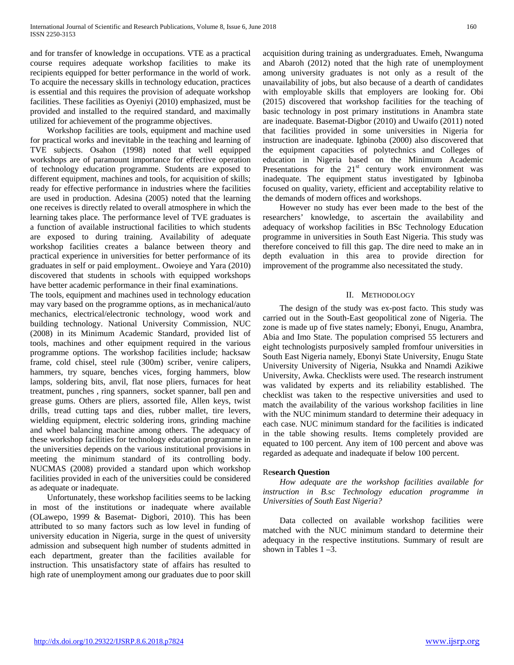and for transfer of knowledge in occupations. VTE as a practical course requires adequate workshop facilities to make its recipients equipped for better performance in the world of work. To acquire the necessary skills in technology education, practices is essential and this requires the provision of adequate workshop facilities. These facilities as Oyeniyi (2010) emphasized, must be provided and installed to the required standard, and maximally utilized for achievement of the programme objectives.

 Workshop facilities are tools, equipment and machine used for practical works and inevitable in the teaching and learning of TVE subjects. Osahon (1998) noted that well equipped workshops are of paramount importance for effective operation of technology education programme. Students are exposed to different equipment, machines and tools, for acquisition of skills; ready for effective performance in industries where the facilities are used in production. Adesina (2005) noted that the learning one receives is directly related to overall atmosphere in which the learning takes place. The performance level of TVE graduates is a function of available instructional facilities to which students are exposed to during training. Availability of adequate workshop facilities creates a balance between theory and practical experience in universities for better performance of its graduates in self or paid employment.. Owoieye and Yara (2010) discovered that students in schools with equipped workshops have better academic performance in their final examinations.

The tools, equipment and machines used in technology education may vary based on the programme options, as in mechanical/auto mechanics, electrical/electronic technology, wood work and building technology. National University Commission, NUC (2008) in its Minimum Academic Standard, provided list of tools, machines and other equipment required in the various programme options. The workshop facilities include; hacksaw frame, cold chisel, steel rule (300m) scriber, venire calipers, hammers, try square, benches vices, forging hammers, blow lamps, soldering bits, anvil, flat nose pliers, furnaces for heat treatment, punches , ring spanners, socket spanner, ball pen and grease gums. Others are pliers, assorted file, Allen keys, twist drills, tread cutting taps and dies, rubber mallet, tire levers, wielding equipment, electric soldering irons, grinding machine and wheel balancing machine among others. The adequacy of these workshop facilities for technology education programme in the universities depends on the various institutional provisions in meeting the minimum standard of its controlling body. NUCMAS (2008) provided a standard upon which workshop facilities provided in each of the universities could be considered as adequate or inadequate.

 Unfortunately, these workshop facilities seems to be lacking in most of the institutions or inadequate where available (OLawepo, 1999 & Basemat- Digbori, 2010). This has been attributed to so many factors such as low level in funding of university education in Nigeria, surge in the quest of university admission and subsequent high number of students admitted in each department, greater than the facilities available for instruction. This unsatisfactory state of affairs has resulted to high rate of unemployment among our graduates due to poor skill acquisition during training as undergraduates. Emeh, Nwanguma and Abaroh (2012) noted that the high rate of unemployment among university graduates is not only as a result of the unavailability of jobs, but also because of a dearth of candidates with employable skills that employers are looking for. Obi (2015) discovered that workshop facilities for the teaching of basic technology in post primary institutions in Anambra state are inadequate. Basemat-Digbor (2010) and Uwaifo (2011) noted that facilities provided in some universities in Nigeria for instruction are inadequate. Igbinoba (2000) also discovered that the equipment capacities of polytechnics and Colleges of education in Nigeria based on the Minimum Academic Presentations for the  $21<sup>st</sup>$  century work environment was inadequate. The equipment status investigated by Igbinoba focused on quality, variety, efficient and acceptability relative to the demands of modern offices and workshops.

 However no study has ever been made to the best of the researchers' knowledge, to ascertain the availability and adequacy of workshop facilities in BSc Technology Education programme in universities in South East Nigeria. This study was therefore conceived to fill this gap. The dire need to make an in depth evaluation in this area to provide direction for improvement of the programme also necessitated the study.

## II. METHODOLOGY

 The design of the study was ex-post facto. This study was carried out in the South-East geopolitical zone of Nigeria. The zone is made up of five states namely; Ebonyi, Enugu, Anambra, Abia and Imo State. The population comprised 55 lecturers and eight technologists purposively sampled fromfour universities in South East Nigeria namely, Ebonyi State University, Enugu State University University of Nigeria, Nsukka and Nnamdi Azikiwe University, Awka. Checklists were used. The research instrument was validated by experts and its reliability established. The checklist was taken to the respective universities and used to match the availability of the various workshop facilities in line with the NUC minimum standard to determine their adequacy in each case. NUC minimum standard for the facilities is indicated in the table showing results. Items completely provided are equated to 100 percent. Any item of 100 percent and above was regarded as adequate and inadequate if below 100 percent.

# Re**search Question**

 *How adequate are the workshop facilities available for instruction in B.sc Technology education programme in Universities of South East Nigeria?*

 Data collected on available workshop facilities were matched with the NUC minimum standard to determine their adequacy in the respective institutions. Summary of result are shown in Tables 1 –3.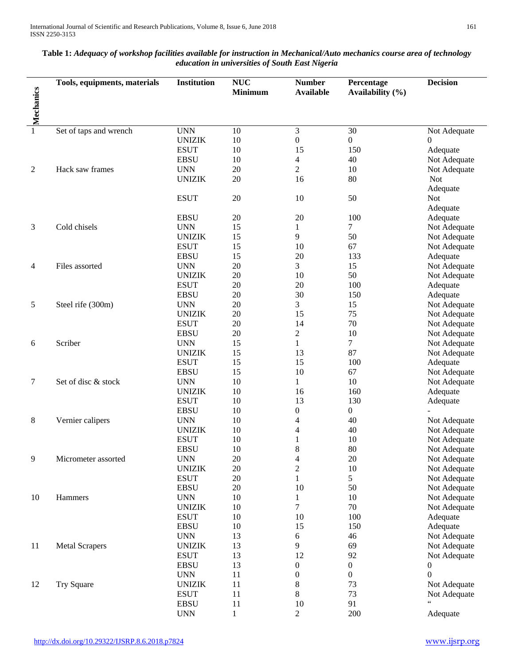l,

| Mechanics<br><b>Minimum</b><br><b>Available</b><br>Availability (%)<br>3<br><b>UNN</b><br>30<br>1<br>Set of taps and wrench<br>10<br>Not Adequate<br><b>UNIZIK</b><br>10<br>$\boldsymbol{0}$<br>0<br>0<br><b>ESUT</b><br>$10\,$<br>15<br>150<br>Adequate<br><b>EBSU</b><br>10<br>$\overline{4}$<br>40<br>Not Adequate<br>$\overline{2}$<br>10<br>$\overline{c}$<br>Hack saw frames<br><b>UNN</b><br>20<br>Not Adequate<br>20<br>80<br><b>UNIZIK</b><br>16<br><b>Not</b><br>Adequate<br>50<br><b>ESUT</b><br>20<br>10<br><b>Not</b><br>Adequate<br><b>EBSU</b><br>20<br>20<br>100<br>Adequate<br>3<br>Cold chisels<br><b>UNN</b><br>15<br>7<br>1<br>Not Adequate<br>15<br>9<br><b>UNIZIK</b><br>50<br>Not Adequate<br><b>ESUT</b><br>15<br>10<br>67<br>Not Adequate<br>15<br><b>EBSU</b><br>20<br>133<br>Adequate<br>20<br>3<br>15<br>Files assorted<br><b>UNN</b><br>Not Adequate<br>4<br>50<br>20<br><b>UNIZIK</b><br>10<br>Not Adequate<br>20<br><b>ESUT</b><br>20<br>100<br>Adequate<br>30<br><b>EBSU</b><br>20<br>150<br>Adequate<br>20<br>3<br>5<br>Steel rife (300m)<br><b>UNN</b><br>15<br>Not Adequate<br><b>UNIZIK</b><br>20<br>15<br>75<br>Not Adequate<br><b>ESUT</b><br>20<br>14<br>70<br>Not Adequate<br>$\mathbf{2}$<br><b>EBSU</b><br>20<br>10<br>Not Adequate<br>Scriber<br><b>UNN</b><br>15<br>1<br>7<br>Not Adequate<br>6<br>15<br><b>UNIZIK</b><br>13<br>87<br>Not Adequate<br><b>ESUT</b><br>15<br>15<br>100<br>Adequate<br>15<br>10<br><b>EBSU</b><br>67<br>Not Adequate<br>$10\,$<br>10<br>7<br>Set of disc & stock<br><b>UNN</b><br>1<br>Not Adequate<br><b>UNIZIK</b><br>10<br>16<br>160<br>Adequate<br>13<br><b>ESUT</b><br>10<br>130<br>Adequate<br><b>EBSU</b><br>10<br>$\boldsymbol{0}$<br>0<br>8<br>10<br>4<br>40<br>Vernier calipers<br><b>UNN</b><br>Not Adequate<br><b>UNIZIK</b><br>10<br>40<br>Not Adequate<br>4<br><b>ESUT</b><br>10<br>10<br>1<br>Not Adequate<br><b>EBSU</b><br>8<br>80<br>10<br>Not Adequate<br>9<br>20<br>20<br>Micrometer assorted<br><b>UNN</b><br>$\overline{4}$<br>Not Adequate<br>$\mathbf{2}$<br><b>UNIZIK</b><br>20<br>10<br>Not Adequate<br><b>ESUT</b><br>20<br>1<br>5<br>Not Adequate<br><b>EBSU</b><br>20<br>10<br>50<br>Not Adequate<br><b>UNN</b><br>10<br>10<br>10<br>Hammers<br>1<br>Not Adequate<br>$\tau$<br><b>UNIZIK</b><br>10<br>70<br>Not Adequate<br><b>ESUT</b><br>10<br>10<br>100<br>Adequate<br>15<br><b>EBSU</b><br>10<br>150<br>Adequate<br>13<br>6<br>46<br><b>UNN</b><br>Not Adequate<br>13<br>9<br>69<br>11<br><b>Metal Scrapers</b><br><b>UNIZIK</b><br>Not Adequate<br><b>ESUT</b><br>13<br>12<br>92<br>Not Adequate<br><b>EBSU</b><br>13<br>$\boldsymbol{0}$<br>0<br>0<br><b>UNN</b><br>11<br>$\boldsymbol{0}$<br>0<br>0<br>$8\,$<br>11<br><b>Try Square</b><br><b>UNIZIK</b><br>73<br>Not Adequate<br>12<br>$8\,$<br>73<br><b>ESUT</b><br>11<br>Not Adequate | Tools, equipments, materials | <b>Institution</b> | <b>NUC</b> | <b>Number</b> | Percentage | <b>Decision</b> |
|-------------------------------------------------------------------------------------------------------------------------------------------------------------------------------------------------------------------------------------------------------------------------------------------------------------------------------------------------------------------------------------------------------------------------------------------------------------------------------------------------------------------------------------------------------------------------------------------------------------------------------------------------------------------------------------------------------------------------------------------------------------------------------------------------------------------------------------------------------------------------------------------------------------------------------------------------------------------------------------------------------------------------------------------------------------------------------------------------------------------------------------------------------------------------------------------------------------------------------------------------------------------------------------------------------------------------------------------------------------------------------------------------------------------------------------------------------------------------------------------------------------------------------------------------------------------------------------------------------------------------------------------------------------------------------------------------------------------------------------------------------------------------------------------------------------------------------------------------------------------------------------------------------------------------------------------------------------------------------------------------------------------------------------------------------------------------------------------------------------------------------------------------------------------------------------------------------------------------------------------------------------------------------------------------------------------------------------------------------------------------------------------------------------------------------------------------------------------------------------------------------------------------------------------------------------------------------------------------------------------------------------------------------------------------------------------------------------------------------------------------------------------------------------------------------------------------------------------------------|------------------------------|--------------------|------------|---------------|------------|-----------------|
|                                                                                                                                                                                                                                                                                                                                                                                                                                                                                                                                                                                                                                                                                                                                                                                                                                                                                                                                                                                                                                                                                                                                                                                                                                                                                                                                                                                                                                                                                                                                                                                                                                                                                                                                                                                                                                                                                                                                                                                                                                                                                                                                                                                                                                                                                                                                                                                                                                                                                                                                                                                                                                                                                                                                                                                                                                                       |                              |                    |            |               |            |                 |
|                                                                                                                                                                                                                                                                                                                                                                                                                                                                                                                                                                                                                                                                                                                                                                                                                                                                                                                                                                                                                                                                                                                                                                                                                                                                                                                                                                                                                                                                                                                                                                                                                                                                                                                                                                                                                                                                                                                                                                                                                                                                                                                                                                                                                                                                                                                                                                                                                                                                                                                                                                                                                                                                                                                                                                                                                                                       |                              |                    |            |               |            |                 |
|                                                                                                                                                                                                                                                                                                                                                                                                                                                                                                                                                                                                                                                                                                                                                                                                                                                                                                                                                                                                                                                                                                                                                                                                                                                                                                                                                                                                                                                                                                                                                                                                                                                                                                                                                                                                                                                                                                                                                                                                                                                                                                                                                                                                                                                                                                                                                                                                                                                                                                                                                                                                                                                                                                                                                                                                                                                       |                              |                    |            |               |            |                 |
|                                                                                                                                                                                                                                                                                                                                                                                                                                                                                                                                                                                                                                                                                                                                                                                                                                                                                                                                                                                                                                                                                                                                                                                                                                                                                                                                                                                                                                                                                                                                                                                                                                                                                                                                                                                                                                                                                                                                                                                                                                                                                                                                                                                                                                                                                                                                                                                                                                                                                                                                                                                                                                                                                                                                                                                                                                                       |                              |                    |            |               |            |                 |
|                                                                                                                                                                                                                                                                                                                                                                                                                                                                                                                                                                                                                                                                                                                                                                                                                                                                                                                                                                                                                                                                                                                                                                                                                                                                                                                                                                                                                                                                                                                                                                                                                                                                                                                                                                                                                                                                                                                                                                                                                                                                                                                                                                                                                                                                                                                                                                                                                                                                                                                                                                                                                                                                                                                                                                                                                                                       |                              |                    |            |               |            |                 |
|                                                                                                                                                                                                                                                                                                                                                                                                                                                                                                                                                                                                                                                                                                                                                                                                                                                                                                                                                                                                                                                                                                                                                                                                                                                                                                                                                                                                                                                                                                                                                                                                                                                                                                                                                                                                                                                                                                                                                                                                                                                                                                                                                                                                                                                                                                                                                                                                                                                                                                                                                                                                                                                                                                                                                                                                                                                       |                              |                    |            |               |            |                 |
|                                                                                                                                                                                                                                                                                                                                                                                                                                                                                                                                                                                                                                                                                                                                                                                                                                                                                                                                                                                                                                                                                                                                                                                                                                                                                                                                                                                                                                                                                                                                                                                                                                                                                                                                                                                                                                                                                                                                                                                                                                                                                                                                                                                                                                                                                                                                                                                                                                                                                                                                                                                                                                                                                                                                                                                                                                                       |                              |                    |            |               |            |                 |
|                                                                                                                                                                                                                                                                                                                                                                                                                                                                                                                                                                                                                                                                                                                                                                                                                                                                                                                                                                                                                                                                                                                                                                                                                                                                                                                                                                                                                                                                                                                                                                                                                                                                                                                                                                                                                                                                                                                                                                                                                                                                                                                                                                                                                                                                                                                                                                                                                                                                                                                                                                                                                                                                                                                                                                                                                                                       |                              |                    |            |               |            |                 |
|                                                                                                                                                                                                                                                                                                                                                                                                                                                                                                                                                                                                                                                                                                                                                                                                                                                                                                                                                                                                                                                                                                                                                                                                                                                                                                                                                                                                                                                                                                                                                                                                                                                                                                                                                                                                                                                                                                                                                                                                                                                                                                                                                                                                                                                                                                                                                                                                                                                                                                                                                                                                                                                                                                                                                                                                                                                       |                              |                    |            |               |            |                 |
|                                                                                                                                                                                                                                                                                                                                                                                                                                                                                                                                                                                                                                                                                                                                                                                                                                                                                                                                                                                                                                                                                                                                                                                                                                                                                                                                                                                                                                                                                                                                                                                                                                                                                                                                                                                                                                                                                                                                                                                                                                                                                                                                                                                                                                                                                                                                                                                                                                                                                                                                                                                                                                                                                                                                                                                                                                                       |                              |                    |            |               |            |                 |
|                                                                                                                                                                                                                                                                                                                                                                                                                                                                                                                                                                                                                                                                                                                                                                                                                                                                                                                                                                                                                                                                                                                                                                                                                                                                                                                                                                                                                                                                                                                                                                                                                                                                                                                                                                                                                                                                                                                                                                                                                                                                                                                                                                                                                                                                                                                                                                                                                                                                                                                                                                                                                                                                                                                                                                                                                                                       |                              |                    |            |               |            |                 |
|                                                                                                                                                                                                                                                                                                                                                                                                                                                                                                                                                                                                                                                                                                                                                                                                                                                                                                                                                                                                                                                                                                                                                                                                                                                                                                                                                                                                                                                                                                                                                                                                                                                                                                                                                                                                                                                                                                                                                                                                                                                                                                                                                                                                                                                                                                                                                                                                                                                                                                                                                                                                                                                                                                                                                                                                                                                       |                              |                    |            |               |            |                 |
|                                                                                                                                                                                                                                                                                                                                                                                                                                                                                                                                                                                                                                                                                                                                                                                                                                                                                                                                                                                                                                                                                                                                                                                                                                                                                                                                                                                                                                                                                                                                                                                                                                                                                                                                                                                                                                                                                                                                                                                                                                                                                                                                                                                                                                                                                                                                                                                                                                                                                                                                                                                                                                                                                                                                                                                                                                                       |                              |                    |            |               |            |                 |
|                                                                                                                                                                                                                                                                                                                                                                                                                                                                                                                                                                                                                                                                                                                                                                                                                                                                                                                                                                                                                                                                                                                                                                                                                                                                                                                                                                                                                                                                                                                                                                                                                                                                                                                                                                                                                                                                                                                                                                                                                                                                                                                                                                                                                                                                                                                                                                                                                                                                                                                                                                                                                                                                                                                                                                                                                                                       |                              |                    |            |               |            |                 |
|                                                                                                                                                                                                                                                                                                                                                                                                                                                                                                                                                                                                                                                                                                                                                                                                                                                                                                                                                                                                                                                                                                                                                                                                                                                                                                                                                                                                                                                                                                                                                                                                                                                                                                                                                                                                                                                                                                                                                                                                                                                                                                                                                                                                                                                                                                                                                                                                                                                                                                                                                                                                                                                                                                                                                                                                                                                       |                              |                    |            |               |            |                 |
|                                                                                                                                                                                                                                                                                                                                                                                                                                                                                                                                                                                                                                                                                                                                                                                                                                                                                                                                                                                                                                                                                                                                                                                                                                                                                                                                                                                                                                                                                                                                                                                                                                                                                                                                                                                                                                                                                                                                                                                                                                                                                                                                                                                                                                                                                                                                                                                                                                                                                                                                                                                                                                                                                                                                                                                                                                                       |                              |                    |            |               |            |                 |
|                                                                                                                                                                                                                                                                                                                                                                                                                                                                                                                                                                                                                                                                                                                                                                                                                                                                                                                                                                                                                                                                                                                                                                                                                                                                                                                                                                                                                                                                                                                                                                                                                                                                                                                                                                                                                                                                                                                                                                                                                                                                                                                                                                                                                                                                                                                                                                                                                                                                                                                                                                                                                                                                                                                                                                                                                                                       |                              |                    |            |               |            |                 |
|                                                                                                                                                                                                                                                                                                                                                                                                                                                                                                                                                                                                                                                                                                                                                                                                                                                                                                                                                                                                                                                                                                                                                                                                                                                                                                                                                                                                                                                                                                                                                                                                                                                                                                                                                                                                                                                                                                                                                                                                                                                                                                                                                                                                                                                                                                                                                                                                                                                                                                                                                                                                                                                                                                                                                                                                                                                       |                              |                    |            |               |            |                 |
|                                                                                                                                                                                                                                                                                                                                                                                                                                                                                                                                                                                                                                                                                                                                                                                                                                                                                                                                                                                                                                                                                                                                                                                                                                                                                                                                                                                                                                                                                                                                                                                                                                                                                                                                                                                                                                                                                                                                                                                                                                                                                                                                                                                                                                                                                                                                                                                                                                                                                                                                                                                                                                                                                                                                                                                                                                                       |                              |                    |            |               |            |                 |
|                                                                                                                                                                                                                                                                                                                                                                                                                                                                                                                                                                                                                                                                                                                                                                                                                                                                                                                                                                                                                                                                                                                                                                                                                                                                                                                                                                                                                                                                                                                                                                                                                                                                                                                                                                                                                                                                                                                                                                                                                                                                                                                                                                                                                                                                                                                                                                                                                                                                                                                                                                                                                                                                                                                                                                                                                                                       |                              |                    |            |               |            |                 |
|                                                                                                                                                                                                                                                                                                                                                                                                                                                                                                                                                                                                                                                                                                                                                                                                                                                                                                                                                                                                                                                                                                                                                                                                                                                                                                                                                                                                                                                                                                                                                                                                                                                                                                                                                                                                                                                                                                                                                                                                                                                                                                                                                                                                                                                                                                                                                                                                                                                                                                                                                                                                                                                                                                                                                                                                                                                       |                              |                    |            |               |            |                 |
|                                                                                                                                                                                                                                                                                                                                                                                                                                                                                                                                                                                                                                                                                                                                                                                                                                                                                                                                                                                                                                                                                                                                                                                                                                                                                                                                                                                                                                                                                                                                                                                                                                                                                                                                                                                                                                                                                                                                                                                                                                                                                                                                                                                                                                                                                                                                                                                                                                                                                                                                                                                                                                                                                                                                                                                                                                                       |                              |                    |            |               |            |                 |
|                                                                                                                                                                                                                                                                                                                                                                                                                                                                                                                                                                                                                                                                                                                                                                                                                                                                                                                                                                                                                                                                                                                                                                                                                                                                                                                                                                                                                                                                                                                                                                                                                                                                                                                                                                                                                                                                                                                                                                                                                                                                                                                                                                                                                                                                                                                                                                                                                                                                                                                                                                                                                                                                                                                                                                                                                                                       |                              |                    |            |               |            |                 |
|                                                                                                                                                                                                                                                                                                                                                                                                                                                                                                                                                                                                                                                                                                                                                                                                                                                                                                                                                                                                                                                                                                                                                                                                                                                                                                                                                                                                                                                                                                                                                                                                                                                                                                                                                                                                                                                                                                                                                                                                                                                                                                                                                                                                                                                                                                                                                                                                                                                                                                                                                                                                                                                                                                                                                                                                                                                       |                              |                    |            |               |            |                 |
|                                                                                                                                                                                                                                                                                                                                                                                                                                                                                                                                                                                                                                                                                                                                                                                                                                                                                                                                                                                                                                                                                                                                                                                                                                                                                                                                                                                                                                                                                                                                                                                                                                                                                                                                                                                                                                                                                                                                                                                                                                                                                                                                                                                                                                                                                                                                                                                                                                                                                                                                                                                                                                                                                                                                                                                                                                                       |                              |                    |            |               |            |                 |
|                                                                                                                                                                                                                                                                                                                                                                                                                                                                                                                                                                                                                                                                                                                                                                                                                                                                                                                                                                                                                                                                                                                                                                                                                                                                                                                                                                                                                                                                                                                                                                                                                                                                                                                                                                                                                                                                                                                                                                                                                                                                                                                                                                                                                                                                                                                                                                                                                                                                                                                                                                                                                                                                                                                                                                                                                                                       |                              |                    |            |               |            |                 |
|                                                                                                                                                                                                                                                                                                                                                                                                                                                                                                                                                                                                                                                                                                                                                                                                                                                                                                                                                                                                                                                                                                                                                                                                                                                                                                                                                                                                                                                                                                                                                                                                                                                                                                                                                                                                                                                                                                                                                                                                                                                                                                                                                                                                                                                                                                                                                                                                                                                                                                                                                                                                                                                                                                                                                                                                                                                       |                              |                    |            |               |            |                 |
|                                                                                                                                                                                                                                                                                                                                                                                                                                                                                                                                                                                                                                                                                                                                                                                                                                                                                                                                                                                                                                                                                                                                                                                                                                                                                                                                                                                                                                                                                                                                                                                                                                                                                                                                                                                                                                                                                                                                                                                                                                                                                                                                                                                                                                                                                                                                                                                                                                                                                                                                                                                                                                                                                                                                                                                                                                                       |                              |                    |            |               |            |                 |
|                                                                                                                                                                                                                                                                                                                                                                                                                                                                                                                                                                                                                                                                                                                                                                                                                                                                                                                                                                                                                                                                                                                                                                                                                                                                                                                                                                                                                                                                                                                                                                                                                                                                                                                                                                                                                                                                                                                                                                                                                                                                                                                                                                                                                                                                                                                                                                                                                                                                                                                                                                                                                                                                                                                                                                                                                                                       |                              |                    |            |               |            |                 |
|                                                                                                                                                                                                                                                                                                                                                                                                                                                                                                                                                                                                                                                                                                                                                                                                                                                                                                                                                                                                                                                                                                                                                                                                                                                                                                                                                                                                                                                                                                                                                                                                                                                                                                                                                                                                                                                                                                                                                                                                                                                                                                                                                                                                                                                                                                                                                                                                                                                                                                                                                                                                                                                                                                                                                                                                                                                       |                              |                    |            |               |            |                 |
|                                                                                                                                                                                                                                                                                                                                                                                                                                                                                                                                                                                                                                                                                                                                                                                                                                                                                                                                                                                                                                                                                                                                                                                                                                                                                                                                                                                                                                                                                                                                                                                                                                                                                                                                                                                                                                                                                                                                                                                                                                                                                                                                                                                                                                                                                                                                                                                                                                                                                                                                                                                                                                                                                                                                                                                                                                                       |                              |                    |            |               |            |                 |
|                                                                                                                                                                                                                                                                                                                                                                                                                                                                                                                                                                                                                                                                                                                                                                                                                                                                                                                                                                                                                                                                                                                                                                                                                                                                                                                                                                                                                                                                                                                                                                                                                                                                                                                                                                                                                                                                                                                                                                                                                                                                                                                                                                                                                                                                                                                                                                                                                                                                                                                                                                                                                                                                                                                                                                                                                                                       |                              |                    |            |               |            |                 |
|                                                                                                                                                                                                                                                                                                                                                                                                                                                                                                                                                                                                                                                                                                                                                                                                                                                                                                                                                                                                                                                                                                                                                                                                                                                                                                                                                                                                                                                                                                                                                                                                                                                                                                                                                                                                                                                                                                                                                                                                                                                                                                                                                                                                                                                                                                                                                                                                                                                                                                                                                                                                                                                                                                                                                                                                                                                       |                              |                    |            |               |            |                 |
|                                                                                                                                                                                                                                                                                                                                                                                                                                                                                                                                                                                                                                                                                                                                                                                                                                                                                                                                                                                                                                                                                                                                                                                                                                                                                                                                                                                                                                                                                                                                                                                                                                                                                                                                                                                                                                                                                                                                                                                                                                                                                                                                                                                                                                                                                                                                                                                                                                                                                                                                                                                                                                                                                                                                                                                                                                                       |                              |                    |            |               |            |                 |
|                                                                                                                                                                                                                                                                                                                                                                                                                                                                                                                                                                                                                                                                                                                                                                                                                                                                                                                                                                                                                                                                                                                                                                                                                                                                                                                                                                                                                                                                                                                                                                                                                                                                                                                                                                                                                                                                                                                                                                                                                                                                                                                                                                                                                                                                                                                                                                                                                                                                                                                                                                                                                                                                                                                                                                                                                                                       |                              |                    |            |               |            |                 |
|                                                                                                                                                                                                                                                                                                                                                                                                                                                                                                                                                                                                                                                                                                                                                                                                                                                                                                                                                                                                                                                                                                                                                                                                                                                                                                                                                                                                                                                                                                                                                                                                                                                                                                                                                                                                                                                                                                                                                                                                                                                                                                                                                                                                                                                                                                                                                                                                                                                                                                                                                                                                                                                                                                                                                                                                                                                       |                              |                    |            |               |            |                 |
|                                                                                                                                                                                                                                                                                                                                                                                                                                                                                                                                                                                                                                                                                                                                                                                                                                                                                                                                                                                                                                                                                                                                                                                                                                                                                                                                                                                                                                                                                                                                                                                                                                                                                                                                                                                                                                                                                                                                                                                                                                                                                                                                                                                                                                                                                                                                                                                                                                                                                                                                                                                                                                                                                                                                                                                                                                                       |                              |                    |            |               |            |                 |
|                                                                                                                                                                                                                                                                                                                                                                                                                                                                                                                                                                                                                                                                                                                                                                                                                                                                                                                                                                                                                                                                                                                                                                                                                                                                                                                                                                                                                                                                                                                                                                                                                                                                                                                                                                                                                                                                                                                                                                                                                                                                                                                                                                                                                                                                                                                                                                                                                                                                                                                                                                                                                                                                                                                                                                                                                                                       |                              |                    |            |               |            |                 |
|                                                                                                                                                                                                                                                                                                                                                                                                                                                                                                                                                                                                                                                                                                                                                                                                                                                                                                                                                                                                                                                                                                                                                                                                                                                                                                                                                                                                                                                                                                                                                                                                                                                                                                                                                                                                                                                                                                                                                                                                                                                                                                                                                                                                                                                                                                                                                                                                                                                                                                                                                                                                                                                                                                                                                                                                                                                       |                              |                    |            |               |            |                 |
|                                                                                                                                                                                                                                                                                                                                                                                                                                                                                                                                                                                                                                                                                                                                                                                                                                                                                                                                                                                                                                                                                                                                                                                                                                                                                                                                                                                                                                                                                                                                                                                                                                                                                                                                                                                                                                                                                                                                                                                                                                                                                                                                                                                                                                                                                                                                                                                                                                                                                                                                                                                                                                                                                                                                                                                                                                                       |                              |                    |            |               |            |                 |
|                                                                                                                                                                                                                                                                                                                                                                                                                                                                                                                                                                                                                                                                                                                                                                                                                                                                                                                                                                                                                                                                                                                                                                                                                                                                                                                                                                                                                                                                                                                                                                                                                                                                                                                                                                                                                                                                                                                                                                                                                                                                                                                                                                                                                                                                                                                                                                                                                                                                                                                                                                                                                                                                                                                                                                                                                                                       |                              |                    |            |               |            |                 |
|                                                                                                                                                                                                                                                                                                                                                                                                                                                                                                                                                                                                                                                                                                                                                                                                                                                                                                                                                                                                                                                                                                                                                                                                                                                                                                                                                                                                                                                                                                                                                                                                                                                                                                                                                                                                                                                                                                                                                                                                                                                                                                                                                                                                                                                                                                                                                                                                                                                                                                                                                                                                                                                                                                                                                                                                                                                       |                              |                    |            |               |            |                 |
|                                                                                                                                                                                                                                                                                                                                                                                                                                                                                                                                                                                                                                                                                                                                                                                                                                                                                                                                                                                                                                                                                                                                                                                                                                                                                                                                                                                                                                                                                                                                                                                                                                                                                                                                                                                                                                                                                                                                                                                                                                                                                                                                                                                                                                                                                                                                                                                                                                                                                                                                                                                                                                                                                                                                                                                                                                                       |                              |                    |            |               |            |                 |
|                                                                                                                                                                                                                                                                                                                                                                                                                                                                                                                                                                                                                                                                                                                                                                                                                                                                                                                                                                                                                                                                                                                                                                                                                                                                                                                                                                                                                                                                                                                                                                                                                                                                                                                                                                                                                                                                                                                                                                                                                                                                                                                                                                                                                                                                                                                                                                                                                                                                                                                                                                                                                                                                                                                                                                                                                                                       |                              |                    |            |               |            |                 |
|                                                                                                                                                                                                                                                                                                                                                                                                                                                                                                                                                                                                                                                                                                                                                                                                                                                                                                                                                                                                                                                                                                                                                                                                                                                                                                                                                                                                                                                                                                                                                                                                                                                                                                                                                                                                                                                                                                                                                                                                                                                                                                                                                                                                                                                                                                                                                                                                                                                                                                                                                                                                                                                                                                                                                                                                                                                       |                              |                    |            |               |            |                 |
|                                                                                                                                                                                                                                                                                                                                                                                                                                                                                                                                                                                                                                                                                                                                                                                                                                                                                                                                                                                                                                                                                                                                                                                                                                                                                                                                                                                                                                                                                                                                                                                                                                                                                                                                                                                                                                                                                                                                                                                                                                                                                                                                                                                                                                                                                                                                                                                                                                                                                                                                                                                                                                                                                                                                                                                                                                                       |                              |                    |            |               |            |                 |
|                                                                                                                                                                                                                                                                                                                                                                                                                                                                                                                                                                                                                                                                                                                                                                                                                                                                                                                                                                                                                                                                                                                                                                                                                                                                                                                                                                                                                                                                                                                                                                                                                                                                                                                                                                                                                                                                                                                                                                                                                                                                                                                                                                                                                                                                                                                                                                                                                                                                                                                                                                                                                                                                                                                                                                                                                                                       |                              |                    |            |               |            |                 |
|                                                                                                                                                                                                                                                                                                                                                                                                                                                                                                                                                                                                                                                                                                                                                                                                                                                                                                                                                                                                                                                                                                                                                                                                                                                                                                                                                                                                                                                                                                                                                                                                                                                                                                                                                                                                                                                                                                                                                                                                                                                                                                                                                                                                                                                                                                                                                                                                                                                                                                                                                                                                                                                                                                                                                                                                                                                       |                              |                    |            |               |            |                 |
|                                                                                                                                                                                                                                                                                                                                                                                                                                                                                                                                                                                                                                                                                                                                                                                                                                                                                                                                                                                                                                                                                                                                                                                                                                                                                                                                                                                                                                                                                                                                                                                                                                                                                                                                                                                                                                                                                                                                                                                                                                                                                                                                                                                                                                                                                                                                                                                                                                                                                                                                                                                                                                                                                                                                                                                                                                                       |                              |                    |            |               |            |                 |
|                                                                                                                                                                                                                                                                                                                                                                                                                                                                                                                                                                                                                                                                                                                                                                                                                                                                                                                                                                                                                                                                                                                                                                                                                                                                                                                                                                                                                                                                                                                                                                                                                                                                                                                                                                                                                                                                                                                                                                                                                                                                                                                                                                                                                                                                                                                                                                                                                                                                                                                                                                                                                                                                                                                                                                                                                                                       |                              |                    |            |               |            |                 |
|                                                                                                                                                                                                                                                                                                                                                                                                                                                                                                                                                                                                                                                                                                                                                                                                                                                                                                                                                                                                                                                                                                                                                                                                                                                                                                                                                                                                                                                                                                                                                                                                                                                                                                                                                                                                                                                                                                                                                                                                                                                                                                                                                                                                                                                                                                                                                                                                                                                                                                                                                                                                                                                                                                                                                                                                                                                       |                              |                    |            |               |            |                 |
|                                                                                                                                                                                                                                                                                                                                                                                                                                                                                                                                                                                                                                                                                                                                                                                                                                                                                                                                                                                                                                                                                                                                                                                                                                                                                                                                                                                                                                                                                                                                                                                                                                                                                                                                                                                                                                                                                                                                                                                                                                                                                                                                                                                                                                                                                                                                                                                                                                                                                                                                                                                                                                                                                                                                                                                                                                                       |                              | <b>EBSU</b>        | 11         | 10            | 91         |                 |
| $\overline{c}$<br>200<br><b>UNN</b><br>1<br>Adequate                                                                                                                                                                                                                                                                                                                                                                                                                                                                                                                                                                                                                                                                                                                                                                                                                                                                                                                                                                                                                                                                                                                                                                                                                                                                                                                                                                                                                                                                                                                                                                                                                                                                                                                                                                                                                                                                                                                                                                                                                                                                                                                                                                                                                                                                                                                                                                                                                                                                                                                                                                                                                                                                                                                                                                                                  |                              |                    |            |               |            |                 |

# **Table 1:** *Adequacy of workshop facilities available for instruction in Mechanical/Auto mechanics course area of technology education in universities of South East Nigeria*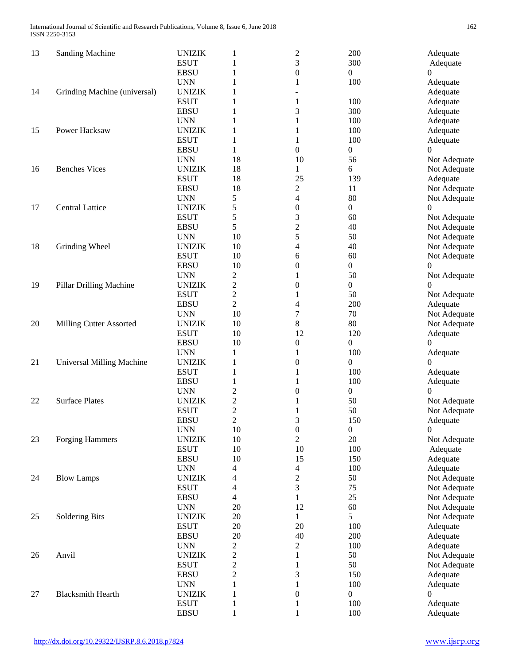| 13 | <b>Sanding Machine</b>       | <b>UNIZIK</b><br><b>ESUT</b> | 1<br>1                             | $\overline{c}$<br>3      | 200<br>300             | Adequate<br>Adequate         |
|----|------------------------------|------------------------------|------------------------------------|--------------------------|------------------------|------------------------------|
|    |                              | <b>EBSU</b>                  | 1                                  | $\boldsymbol{0}$         | 0                      | 0                            |
| 14 | Grinding Machine (universal) | <b>UNN</b><br><b>UNIZIK</b>  | 1<br>1                             | 1                        | 100                    | Adequate<br>Adequate         |
|    |                              | <b>ESUT</b>                  | 1                                  | $\mathbf{1}$             | 100                    | Adequate                     |
|    |                              | <b>EBSU</b>                  | 1                                  | 3                        | 300                    | Adequate                     |
|    |                              | <b>UNN</b>                   | 1                                  | 1                        | 100                    | Adequate                     |
| 15 | Power Hacksaw                | <b>UNIZIK</b>                | 1                                  | 1                        | 100                    | Adequate                     |
|    |                              | <b>ESUT</b>                  | 1                                  | 1                        | 100                    | Adequate                     |
|    |                              | <b>EBSU</b>                  | 1                                  | $\boldsymbol{0}$         | $\boldsymbol{0}$       | $\Omega$                     |
|    |                              | <b>UNN</b>                   | 18                                 | 10                       | 56                     | Not Adequate                 |
| 16 | <b>Benches Vices</b>         | <b>UNIZIK</b>                | 18                                 | 1                        | 6                      | Not Adequate                 |
|    |                              | <b>ESUT</b>                  | 18                                 | 25                       | 139                    | Adequate                     |
|    |                              | <b>EBSU</b>                  | 18                                 | $\overline{c}$           | 11                     | Not Adequate                 |
|    |                              | <b>UNN</b>                   | 5                                  | $\overline{4}$           | 80                     | Not Adequate                 |
| 17 | <b>Central Lattice</b>       | <b>UNIZIK</b>                | 5                                  | $\boldsymbol{0}$         | $\boldsymbol{0}$       | 0                            |
|    |                              | <b>ESUT</b>                  | 5                                  | 3                        | 60                     | Not Adequate                 |
|    |                              | <b>EBSU</b>                  | 5                                  | $\overline{c}$           | 40                     | Not Adequate                 |
|    |                              | <b>UNN</b>                   | 10                                 | 5                        | 50                     | Not Adequate                 |
| 18 | Grinding Wheel               | <b>UNIZIK</b>                | 10                                 | 4                        | 40                     | Not Adequate                 |
|    |                              | <b>ESUT</b>                  | 10                                 | 6                        | 60                     | Not Adequate                 |
|    |                              | <b>EBSU</b>                  | 10                                 | $\boldsymbol{0}$         | $\boldsymbol{0}$       | $\Omega$                     |
|    |                              | <b>UNN</b>                   | 2                                  |                          | 50                     | Not Adequate                 |
| 19 | Pillar Drilling Machine      | <b>UNIZIK</b><br><b>ESUT</b> | 2                                  | $\boldsymbol{0}$         | $\boldsymbol{0}$<br>50 | $\theta$                     |
|    |                              | <b>EBSU</b>                  | $\boldsymbol{2}$<br>$\overline{c}$ | 1<br>4                   | 200                    | Not Adequate<br>Adequate     |
|    |                              | <b>UNN</b>                   | 10                                 | $\overline{7}$           | 70                     | Not Adequate                 |
| 20 | Milling Cutter Assorted      | <b>UNIZIK</b>                | 10                                 | 8                        | 80                     | Not Adequate                 |
|    |                              | <b>ESUT</b>                  | 10                                 | 12                       | 120                    | Adequate                     |
|    |                              | <b>EBSU</b>                  | 10                                 | 0                        | $\boldsymbol{0}$       | $\Omega$                     |
|    |                              | <b>UNN</b>                   | 1                                  | 1                        | 100                    | Adequate                     |
| 21 | Universal Milling Machine    | <b>UNIZIK</b>                | 1                                  | $\boldsymbol{0}$         | 0                      | 0                            |
|    |                              | <b>ESUT</b>                  | 1                                  | 1                        | 100                    | Adequate                     |
|    |                              | <b>EBSU</b>                  | 1                                  |                          | 100                    | Adequate                     |
|    |                              | <b>UNN</b>                   | $\overline{\mathbf{c}}$            | $\theta$                 | $\boldsymbol{0}$       | $\theta$                     |
| 22 | <b>Surface Plates</b>        | <b>UNIZIK</b>                | $\overline{\mathbf{c}}$            |                          | 50                     | Not Adequate                 |
|    |                              | <b>ESUT</b>                  | $\overline{c}$                     | 1                        | 50                     | Not Adequate                 |
|    |                              | <b>EBSU</b>                  | $\overline{2}$                     | 3                        | 150                    | Adequate                     |
|    |                              | <b>UNN</b>                   | 10                                 | $\boldsymbol{0}$         | $\boldsymbol{0}$       | 0                            |
| 23 | <b>Forging Hammers</b>       | <b>UNIZIK</b>                | $10\,$                             | $\overline{c}$           | 20                     | Not Adequate                 |
|    |                              | <b>ESUT</b>                  | 10                                 | 10                       | 100                    | Adequate                     |
|    |                              | <b>EBSU</b>                  | 10                                 | 15                       | 150                    | Adequate                     |
|    |                              | <b>UNN</b>                   | 4                                  | $\overline{\mathcal{A}}$ | 100                    | Adequate                     |
| 24 | <b>Blow Lamps</b>            | <b>UNIZIK</b>                | 4                                  | $\overline{c}$           | 50                     | Not Adequate                 |
|    |                              | <b>ESUT</b>                  | 4                                  | 3                        | 75                     | Not Adequate                 |
|    |                              | <b>EBSU</b><br><b>UNN</b>    | 4<br>20                            | $\mathbf{1}$<br>12       | 25<br>60               | Not Adequate                 |
| 25 | Soldering Bits               | <b>UNIZIK</b>                | 20                                 | 1                        | 5                      | Not Adequate<br>Not Adequate |
|    |                              | <b>ESUT</b>                  | 20                                 | 20                       | 100                    | Adequate                     |
|    |                              | <b>EBSU</b>                  | 20                                 | 40                       | 200                    | Adequate                     |
|    |                              | <b>UNN</b>                   | $\overline{c}$                     | $\boldsymbol{2}$         | 100                    | Adequate                     |
| 26 | Anvil                        | <b>UNIZIK</b>                | $\boldsymbol{2}$                   | $\mathbf{1}$             | 50                     | Not Adequate                 |
|    |                              | <b>ESUT</b>                  | $\overline{c}$                     | $\mathbf{1}$             | 50                     | Not Adequate                 |
|    |                              | <b>EBSU</b>                  | $\boldsymbol{2}$                   | $\mathfrak 3$            | 150                    | Adequate                     |
|    |                              | <b>UNN</b>                   | $\mathbf{1}$                       | $\mathbf{1}$             | 100                    | Adequate                     |
| 27 | <b>Blacksmith Hearth</b>     | <b>UNIZIK</b>                | 1                                  | $\boldsymbol{0}$         | 0                      | $\Omega$                     |
|    |                              | <b>ESUT</b>                  | 1                                  | 1                        | 100                    | Adequate                     |
|    |                              | <b>EBSU</b>                  | $\mathbf{1}$                       | $\mathbf{1}$             | 100                    | Adequate                     |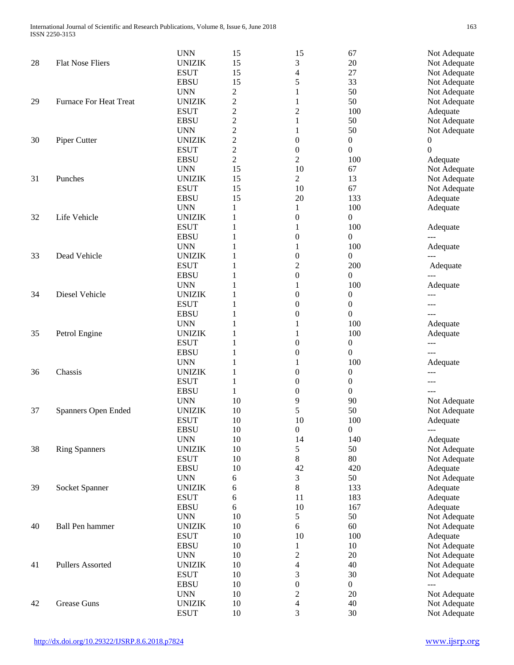|    |                               | <b>UNN</b>    | 15             | 15                       | 67               | Not Adequate         |
|----|-------------------------------|---------------|----------------|--------------------------|------------------|----------------------|
| 28 | <b>Flat Nose Fliers</b>       | <b>UNIZIK</b> | 15             | 3                        | 20               | Not Adequate         |
|    |                               | <b>ESUT</b>   | 15             | 4                        | 27               | Not Adequate         |
|    |                               | <b>EBSU</b>   | 15             | 5                        | 33               | Not Adequate         |
|    |                               | <b>UNN</b>    | $\overline{c}$ | 1                        | 50               | Not Adequate         |
| 29 | <b>Furnace For Heat Treat</b> | <b>UNIZIK</b> | 2              | 1                        | 50               | Not Adequate         |
|    |                               | <b>ESUT</b>   | $\overline{c}$ | $\overline{2}$           | 100              | Adequate             |
|    |                               | <b>EBSU</b>   | $\overline{c}$ | 1                        | 50               | Not Adequate         |
|    |                               | <b>UNN</b>    | $\overline{c}$ | 1                        | 50               | Not Adequate         |
| 30 | Piper Cutter                  | <b>UNIZIK</b> | $\overline{c}$ | $\boldsymbol{0}$         | $\boldsymbol{0}$ | 0                    |
|    |                               | <b>ESUT</b>   | $\overline{c}$ | $\boldsymbol{0}$         | $\boldsymbol{0}$ | $\overline{0}$       |
|    |                               | <b>EBSU</b>   | $\overline{c}$ | $\overline{c}$           | 100              | Adequate             |
|    |                               | <b>UNN</b>    | 15             | 10                       | 67               | Not Adequate         |
| 31 | Punches                       | <b>UNIZIK</b> | 15             | 2                        | 13               | Not Adequate         |
|    |                               | <b>ESUT</b>   | 15             | 10                       | 67               | Not Adequate         |
|    |                               | <b>EBSU</b>   | 15             | 20                       | 133              | Adequate             |
|    |                               | <b>UNN</b>    | 1              | 1                        | 100              | Adequate             |
| 32 | Life Vehicle                  | <b>UNIZIK</b> | 1              | 0                        | 0                |                      |
|    |                               | <b>ESUT</b>   | 1              | 1                        | 100              | Adequate             |
|    |                               | <b>EBSU</b>   | 1              | $\theta$                 | 0                |                      |
|    |                               | <b>UNN</b>    | 1              | 1                        | 100              | Adequate             |
| 33 | Dead Vehicle                  | <b>UNIZIK</b> | 1              | $\boldsymbol{0}$         | 0                |                      |
|    |                               | <b>ESUT</b>   | 1              | 2                        | 200              | Adequate             |
|    |                               | <b>EBSU</b>   |                | $\boldsymbol{0}$         | $\boldsymbol{0}$ |                      |
|    |                               | <b>UNN</b>    | 1              | 1                        | 100              | Adequate             |
| 34 | Diesel Vehicle                | <b>UNIZIK</b> | 1              | 0                        | 0                |                      |
|    |                               | <b>ESUT</b>   | 1              | 0                        | $\boldsymbol{0}$ |                      |
|    |                               | <b>EBSU</b>   | 1              | 0                        | 0                | ---                  |
|    |                               | <b>UNN</b>    | 1              | 1                        | 100              |                      |
| 35 | Petrol Engine                 | <b>UNIZIK</b> | 1              | 1                        | 100              | Adequate<br>Adequate |
|    |                               | <b>ESUT</b>   | 1              | $\theta$                 | $\boldsymbol{0}$ |                      |
|    |                               | <b>EBSU</b>   |                | $\boldsymbol{0}$         | 0                | $---$<br>$---$       |
|    |                               | <b>UNN</b>    | 1<br>1         | 1                        | 100              | Adequate             |
|    | Chassis                       | <b>UNIZIK</b> |                |                          |                  |                      |
| 36 |                               |               | 1              | $\boldsymbol{0}$         | $\boldsymbol{0}$ | ---                  |
|    |                               | <b>ESUT</b>   | $\mathbf{1}$   | $\boldsymbol{0}$         | $\boldsymbol{0}$ | $---$                |
|    |                               | <b>EBSU</b>   | $\mathbf{1}$   | 0                        | $\boldsymbol{0}$ | ---                  |
|    |                               | <b>UNN</b>    | 10             | 9                        | 90               | Not Adequate         |
| 37 | Spanners Open Ended           | <b>UNIZIK</b> | 10             | 5                        | 50               | Not Adequate         |
|    |                               | <b>ESUT</b>   | 10             | 10                       | 100              | Adequate             |
|    |                               | <b>EBSU</b>   | 10             | $\boldsymbol{0}$         | $\boldsymbol{0}$ | $---$                |
|    |                               | <b>UNN</b>    | 10             | 14                       | 140              | Adequate             |
| 38 | <b>Ring Spanners</b>          | <b>UNIZIK</b> | 10             | 5                        | 50               | Not Adequate         |
|    |                               | <b>ESUT</b>   | 10             | 8                        | 80               | Not Adequate         |
|    |                               | <b>EBSU</b>   | 10             | 42                       | 420              | Adequate             |
|    |                               | <b>UNN</b>    | 6              | 3                        | 50               | Not Adequate         |
| 39 | Socket Spanner                | <b>UNIZIK</b> | 6              | 8                        | 133              | Adequate             |
|    |                               | <b>ESUT</b>   | 6              | 11                       | 183              | Adequate             |
|    |                               | <b>EBSU</b>   | 6              | 10                       | 167              | Adequate             |
|    |                               | <b>UNN</b>    | 10             | 5                        | 50               | Not Adequate         |
| 40 | <b>Ball Pen hammer</b>        | <b>UNIZIK</b> | 10             | 6                        | 60               | Not Adequate         |
|    |                               | <b>ESUT</b>   | 10             | 10                       | 100              | Adequate             |
|    |                               | <b>EBSU</b>   | 10             | 1                        | 10               | Not Adequate         |
|    |                               | <b>UNN</b>    | 10             | $\overline{c}$           | 20               | Not Adequate         |
| 41 | <b>Pullers Assorted</b>       | <b>UNIZIK</b> | 10             | 4                        | 40               | Not Adequate         |
|    |                               | <b>ESUT</b>   | 10             | 3                        | 30               | Not Adequate         |
|    |                               | <b>EBSU</b>   | 10             | $\boldsymbol{0}$         | $\overline{0}$   | $\overline{a}$       |
|    |                               | <b>UNN</b>    | 10             | $\overline{\mathbf{c}}$  | 20               | Not Adequate         |
| 42 | <b>Grease Guns</b>            | <b>UNIZIK</b> | 10             | $\overline{\mathcal{L}}$ | 40               | Not Adequate         |
|    |                               | <b>ESUT</b>   | 10             | 3                        | 30               | Not Adequate         |
|    |                               |               |                |                          |                  |                      |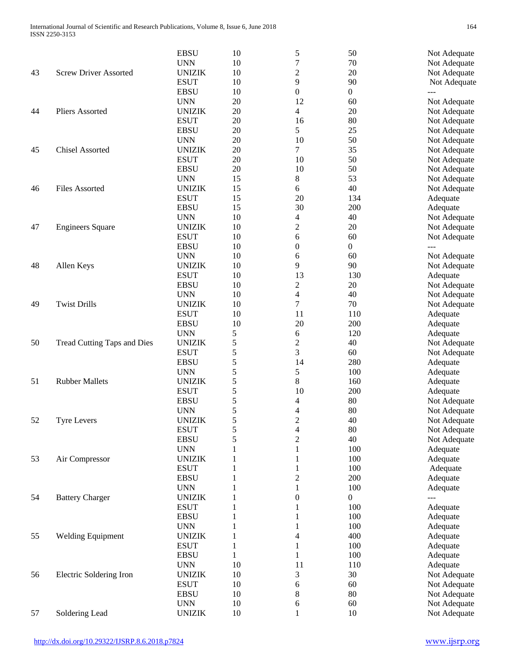|    |                              | <b>EBSU</b>   | 10           | 5                        | 50               | Not Adequate |
|----|------------------------------|---------------|--------------|--------------------------|------------------|--------------|
|    |                              | <b>UNN</b>    | 10           | 7                        | 70               | Not Adequate |
| 43 | <b>Screw Driver Assorted</b> | <b>UNIZIK</b> | 10           | 2                        | 20               | Not Adequate |
|    |                              | <b>ESUT</b>   | 10           | 9                        | 90               | Not Adequate |
|    |                              | <b>EBSU</b>   | 10           | 0                        | $\boldsymbol{0}$ | ---          |
|    |                              | <b>UNN</b>    | 20           | 12                       | 60               | Not Adequate |
| 44 | Pliers Assorted              | <b>UNIZIK</b> | 20           | 4                        | 20               | Not Adequate |
|    |                              | <b>ESUT</b>   | 20           | 16                       | 80               | Not Adequate |
|    |                              |               | 20           | 5                        | 25               |              |
|    |                              | <b>EBSU</b>   |              |                          |                  | Not Adequate |
|    |                              | <b>UNN</b>    | 20           | 10                       | 50               | Not Adequate |
| 45 | <b>Chisel Assorted</b>       | <b>UNIZIK</b> | 20           | 7                        | 35               | Not Adequate |
|    |                              | <b>ESUT</b>   | 20           | 10                       | 50               | Not Adequate |
|    |                              | <b>EBSU</b>   | 20           | 10                       | 50               | Not Adequate |
|    |                              | <b>UNN</b>    | 15           | 8                        | 53               | Not Adequate |
| 46 | <b>Files Assorted</b>        | <b>UNIZIK</b> | 15           | 6                        | 40               | Not Adequate |
|    |                              | <b>ESUT</b>   | 15           | 20                       | 134              | Adequate     |
|    |                              | <b>EBSU</b>   | 15           | 30                       | 200              | Adequate     |
|    |                              | <b>UNN</b>    | 10           | 4                        | 40               | Not Adequate |
| 47 | <b>Engineers Square</b>      | <b>UNIZIK</b> | 10           | 2                        | 20               | Not Adequate |
|    |                              | <b>ESUT</b>   | 10           | 6                        | 60               | Not Adequate |
|    |                              | <b>EBSU</b>   | 10           | 0                        | 0                |              |
|    |                              | <b>UNN</b>    | 10           | 6                        | 60               | Not Adequate |
| 48 | Allen Keys                   | <b>UNIZIK</b> | 10           | 9                        | 90               | Not Adequate |
|    |                              | <b>ESUT</b>   | 10           | 13                       | 130              | Adequate     |
|    |                              | <b>EBSU</b>   | 10           | 2                        | $20\,$           | Not Adequate |
|    |                              | <b>UNN</b>    | 10           | $\overline{\mathcal{L}}$ | 40               | Not Adequate |
| 49 | <b>Twist Drills</b>          | <b>UNIZIK</b> | 10           | 7                        | 70               | Not Adequate |
|    |                              | <b>ESUT</b>   | 10           | 11                       | 110              |              |
|    |                              |               |              |                          |                  | Adequate     |
|    |                              | <b>EBSU</b>   | 10           | 20                       | 200              | Adequate     |
|    |                              | <b>UNN</b>    | 5            | 6                        | 120              | Adequate     |
| 50 | Tread Cutting Taps and Dies  | <b>UNIZIK</b> | 5            | 2                        | 40               | Not Adequate |
|    |                              | <b>ESUT</b>   | 5            | 3                        | 60               | Not Adequate |
|    |                              | <b>EBSU</b>   | 5            | 14                       | 280              | Adequate     |
|    |                              | <b>UNN</b>    | 5            | 5                        | 100              | Adequate     |
| 51 | <b>Rubber Mallets</b>        | <b>UNIZIK</b> | 5            | 8                        | 160              | Adequate     |
|    |                              | <b>ESUT</b>   | 5            | 10                       | 200              | Adequate     |
|    |                              | <b>EBSU</b>   | 5            | 4                        | 80               | Not Adequate |
|    |                              | <b>UNN</b>    | 5            | 4                        | 80               | Not Adequate |
| 52 | <b>Tyre Levers</b>           | <b>UNIZIK</b> | 5            | $\overline{2}$           | 40               | Not Adequate |
|    |                              | <b>ESUT</b>   | 5            | 4                        | 80               | Not Adequate |
|    |                              | <b>EBSU</b>   | 5            | $\overline{c}$           | 40               | Not Adequate |
|    |                              | <b>UNN</b>    | 1            | 1                        | 100              | Adequate     |
| 53 | Air Compressor               | <b>UNIZIK</b> | 1            | 1                        | 100              | Adequate     |
|    |                              | <b>ESUT</b>   | 1            | 1                        | 100              | Adequate     |
|    |                              | <b>EBSU</b>   | 1            | $\overline{c}$           | 200              | Adequate     |
|    |                              | <b>UNN</b>    | 1            | 1                        | 100              | Adequate     |
| 54 | <b>Battery Charger</b>       | <b>UNIZIK</b> | 1            | $\boldsymbol{0}$         | $\boldsymbol{0}$ | <u>---</u>   |
|    |                              | <b>ESUT</b>   | 1            | 1                        | 100              | Adequate     |
|    |                              | <b>EBSU</b>   |              |                          | 100              |              |
|    |                              |               | 1            | 1                        |                  | Adequate     |
|    |                              | <b>UNN</b>    | 1            | $\mathbf{1}$             | 100              | Adequate     |
| 55 | <b>Welding Equipment</b>     | <b>UNIZIK</b> | 1            | 4                        | 400              | Adequate     |
|    |                              | <b>ESUT</b>   | $\mathbf{1}$ | $\mathbf{1}$             | 100              | Adequate     |
|    |                              | <b>EBSU</b>   | $\mathbf{1}$ | $\mathbf{1}$             | 100              | Adequate     |
|    |                              | <b>UNN</b>    | 10           | 11                       | 110              | Adequate     |
| 56 | Electric Soldering Iron      | <b>UNIZIK</b> | 10           | 3                        | 30               | Not Adequate |
|    |                              | <b>ESUT</b>   | 10           | 6                        | 60               | Not Adequate |
|    |                              | <b>EBSU</b>   | 10           | 8                        | 80               | Not Adequate |
|    |                              | <b>UNN</b>    | 10           | 6                        | 60               | Not Adequate |
| 57 | Soldering Lead               | <b>UNIZIK</b> | 10           | 1                        | 10               | Not Adequate |
|    |                              |               |              |                          |                  |              |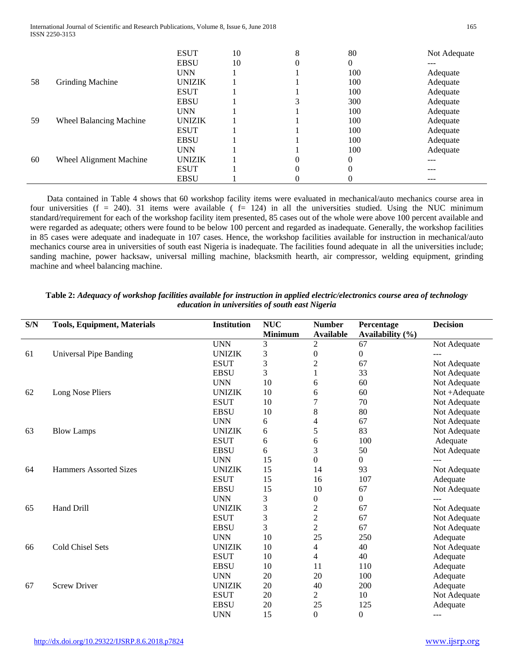|    |                                | <b>ESUT</b>   | 10 | 8        | 80       | Not Adequate |
|----|--------------------------------|---------------|----|----------|----------|--------------|
|    |                                | <b>EBSU</b>   | 10 | $\theta$ | 0        | ---          |
|    |                                | <b>UNN</b>    |    |          | 100      | Adequate     |
| 58 | <b>Grinding Machine</b>        | <b>UNIZIK</b> |    |          | 100      | Adequate     |
|    |                                | <b>ESUT</b>   |    |          | 100      | Adequate     |
|    |                                | <b>EBSU</b>   |    | 3        | 300      | Adequate     |
|    |                                | <b>UNN</b>    |    |          | 100      | Adequate     |
| 59 | <b>Wheel Balancing Machine</b> | <b>UNIZIK</b> |    |          | 100      | Adequate     |
|    |                                | <b>ESUT</b>   |    |          | 100      | Adequate     |
|    |                                | <b>EBSU</b>   |    |          | 100      | Adequate     |
|    |                                | <b>UNN</b>    |    |          | 100      | Adequate     |
| 60 | Wheel Alignment Machine        | <b>UNIZIK</b> |    | 0        | $\theta$ |              |
|    |                                | <b>ESUT</b>   |    | $\theta$ | $\theta$ |              |
|    |                                | <b>EBSU</b>   |    | 0        | 0        | ---          |

 Data contained in Table 4 shows that 60 workshop facility items were evaluated in mechanical/auto mechanics course area in four universities (f = 240). 31 items were available ( $f = 124$ ) in all the universities studied. Using the NUC minimum standard/requirement for each of the workshop facility item presented, 85 cases out of the whole were above 100 percent available and were regarded as adequate; others were found to be below 100 percent and regarded as inadequate. Generally, the workshop facilities in 85 cases were adequate and inadequate in 107 cases. Hence, the workshop facilities available for instruction in mechanical/auto mechanics course area in universities of south east Nigeria is inadequate. The facilities found adequate in all the universities include; sanding machine, power hacksaw, universal milling machine, blacksmith hearth, air compressor, welding equipment, grinding machine and wheel balancing machine.

| S/N | <b>Tools, Equipment, Materials</b> | <b>Institution</b> | <b>NUC</b>     | <b>Number</b>    | Percentage       | <b>Decision</b> |
|-----|------------------------------------|--------------------|----------------|------------------|------------------|-----------------|
|     |                                    |                    | <b>Minimum</b> | <b>Available</b> | Availability (%) |                 |
|     |                                    | <b>UNN</b>         | 3              | $\mathbf{2}$     | 67               | Not Adequate    |
| 61  | <b>Universal Pipe Banding</b>      | <b>UNIZIK</b>      | 3              | $\boldsymbol{0}$ | $\boldsymbol{0}$ | ---             |
|     |                                    | <b>ESUT</b>        | 3              | $\overline{c}$   | 67               | Not Adequate    |
|     |                                    | <b>EBSU</b>        | 3              |                  | 33               | Not Adequate    |
|     |                                    | <b>UNN</b>         | 10             | 6                | 60               | Not Adequate    |
| 62  | Long Nose Pliers                   | <b>UNIZIK</b>      | 10             | 6                | 60               | Not +Adequate   |
|     |                                    | <b>ESUT</b>        | 10             | 7                | 70               | Not Adequate    |
|     |                                    | <b>EBSU</b>        | 10             | 8                | 80               | Not Adequate    |
|     |                                    | <b>UNN</b>         | 6              | 4                | 67               | Not Adequate    |
| 63  | <b>Blow Lamps</b>                  | <b>UNIZIK</b>      | 6              | 5                | 83               | Not Adequate    |
|     |                                    | <b>ESUT</b>        | 6              | 6                | 100              | Adequate        |
|     |                                    | <b>EBSU</b>        | 6              | 3                | 50               | Not Adequate    |
|     |                                    | <b>UNN</b>         | 15             | $\boldsymbol{0}$ | $\overline{0}$   |                 |
| 64  | <b>Hammers Assorted Sizes</b>      | <b>UNIZIK</b>      | 15             | 14               | 93               | Not Adequate    |
|     |                                    | <b>ESUT</b>        | 15             | 16               | 107              | Adequate        |
|     |                                    | <b>EBSU</b>        | 15             | 10               | 67               | Not Adequate    |
|     |                                    | <b>UNN</b>         | 3              | 0                | $\overline{0}$   |                 |
| 65  | Hand Drill                         | <b>UNIZIK</b>      | 3              | $\overline{c}$   | 67               | Not Adequate    |
|     |                                    | <b>ESUT</b>        | 3              | $\overline{c}$   | 67               | Not Adequate    |
|     |                                    | <b>EBSU</b>        | 3              | $\overline{c}$   | 67               | Not Adequate    |
|     |                                    | <b>UNN</b>         | 10             | 25               | 250              | Adequate        |
| 66  | <b>Cold Chisel Sets</b>            | <b>UNIZIK</b>      | 10             | 4                | 40               | Not Adequate    |
|     |                                    | <b>ESUT</b>        | 10             | 4                | 40               | Adequate        |
|     |                                    | <b>EBSU</b>        | 10             | 11               | 110              | Adequate        |
|     |                                    | <b>UNN</b>         | 20             | 20               | 100              | Adequate        |
| 67  | <b>Screw Driver</b>                | <b>UNIZIK</b>      | 20             | 40               | 200              | Adequate        |
|     |                                    | <b>ESUT</b>        | 20             | $\overline{2}$   | 10               | Not Adequate    |
|     |                                    | <b>EBSU</b>        | 20             | 25               | 125              | Adequate        |
|     |                                    | <b>UNN</b>         | 15             | $\theta$         | $\theta$         |                 |

**Table 2:** *Adequacy of workshop facilities available for instruction in applied electric/electronics course area of technology education in universities of south east Nigeria*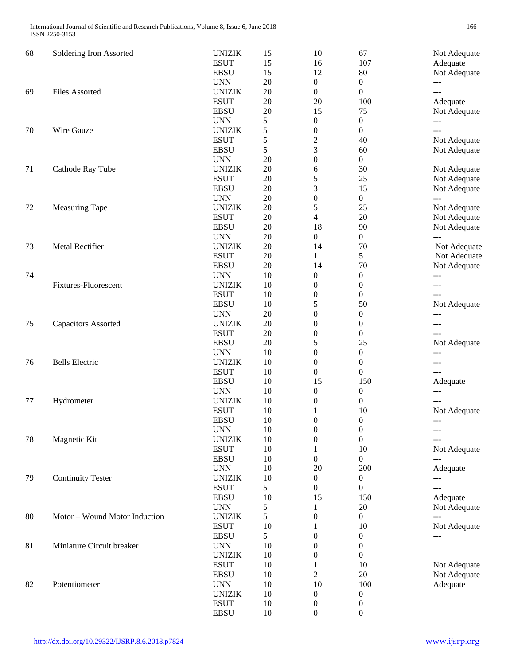| 68 | Soldering Iron Assorted       | <b>UNIZIK</b> | 15 | 10                       | 67               | Not Adequate   |
|----|-------------------------------|---------------|----|--------------------------|------------------|----------------|
|    |                               | <b>ESUT</b>   | 15 | 16                       | 107              | Adequate       |
|    |                               | <b>EBSU</b>   | 15 | 12                       | 80               | Not Adequate   |
|    |                               | <b>UNN</b>    | 20 | $\boldsymbol{0}$         | $\overline{0}$   | ---            |
| 69 | <b>Files Assorted</b>         | <b>UNIZIK</b> | 20 | $\boldsymbol{0}$         | $\boldsymbol{0}$ | $---$          |
|    |                               | <b>ESUT</b>   | 20 | 20                       | 100              | Adequate       |
|    |                               | <b>EBSU</b>   | 20 | 15                       | 75               | Not Adequate   |
|    |                               | <b>UNN</b>    | 5  | $\boldsymbol{0}$         | $\boldsymbol{0}$ | $---$          |
| 70 | Wire Gauze                    | <b>UNIZIK</b> | 5  | $\boldsymbol{0}$         | 0                | ---            |
|    |                               | <b>ESUT</b>   | 5  | $\overline{c}$           | 40               | Not Adequate   |
|    |                               | <b>EBSU</b>   | 5  | 3                        | 60               | Not Adequate   |
|    |                               | <b>UNN</b>    | 20 | $\boldsymbol{0}$         | $\overline{0}$   |                |
| 71 | Cathode Ray Tube              | <b>UNIZIK</b> | 20 | 6                        | 30               | Not Adequate   |
|    |                               | <b>ESUT</b>   | 20 | 5                        | 25               | Not Adequate   |
|    |                               | <b>EBSU</b>   | 20 | 3                        | 15               | Not Adequate   |
|    |                               | <b>UNN</b>    | 20 | $\boldsymbol{0}$         | $\mathbf{0}$     | $---$          |
| 72 | <b>Measuring Tape</b>         | <b>UNIZIK</b> | 20 | 5                        | 25               | Not Adequate   |
|    |                               | <b>ESUT</b>   | 20 | $\overline{\mathcal{L}}$ | 20               | Not Adequate   |
|    |                               | <b>EBSU</b>   | 20 | 18                       | 90               | Not Adequate   |
|    |                               | <b>UNN</b>    | 20 | $\boldsymbol{0}$         | $\boldsymbol{0}$ | $\overline{a}$ |
| 73 | Metal Rectifier               | <b>UNIZIK</b> | 20 | 14                       | 70               | Not Adequate   |
|    |                               | <b>ESUT</b>   | 20 | 1                        | 5                | Not Adequate   |
|    |                               | <b>EBSU</b>   | 20 | 14                       | 70               | Not Adequate   |
| 74 |                               | <b>UNN</b>    | 10 | $\boldsymbol{0}$         | $\boldsymbol{0}$ | ---            |
|    | <b>Fixtures-Fluorescent</b>   | <b>UNIZIK</b> | 10 | $\theta$                 | $\boldsymbol{0}$ | $---$          |
|    |                               | <b>ESUT</b>   | 10 | $\boldsymbol{0}$         | $\boldsymbol{0}$ | ---            |
|    |                               | <b>EBSU</b>   | 10 | 5                        | 50               | Not Adequate   |
|    |                               | <b>UNN</b>    | 20 | 0                        | $\boldsymbol{0}$ | ---            |
| 75 | <b>Capacitors Assorted</b>    | <b>UNIZIK</b> | 20 | $\boldsymbol{0}$         | $\boldsymbol{0}$ | ---            |
|    |                               | <b>ESUT</b>   | 20 | $\boldsymbol{0}$         | $\boldsymbol{0}$ | $---$          |
|    |                               | <b>EBSU</b>   | 20 | 5                        | 25               | Not Adequate   |
|    |                               | <b>UNN</b>    | 10 | 0                        | $\boldsymbol{0}$ | $---$          |
| 76 | <b>Bells Electric</b>         | <b>UNIZIK</b> | 10 | $\boldsymbol{0}$         | $\boldsymbol{0}$ | ---            |
|    |                               | <b>ESUT</b>   | 10 | $\boldsymbol{0}$         | $\boldsymbol{0}$ | ---            |
|    |                               | <b>EBSU</b>   | 10 | 15                       | 150              | Adequate       |
|    |                               | <b>UNN</b>    | 10 | $\boldsymbol{0}$         | 0                | ---            |
| 77 | Hydrometer                    | <b>UNIZIK</b> | 10 | $\boldsymbol{0}$         | $\boldsymbol{0}$ | $---$          |
|    |                               | <b>ESUT</b>   | 10 | 1                        | 10               | Not Adequate   |
|    |                               | <b>EBSU</b>   | 10 | $\boldsymbol{0}$         | $\overline{0}$   | $---$          |
|    |                               | <b>UNN</b>    | 10 | $\boldsymbol{0}$         | $\boldsymbol{0}$ | $---$          |
| 78 | Magnetic Kit                  | <b>UNIZIK</b> | 10 | 0                        | $\boldsymbol{0}$ | ---            |
|    |                               | <b>ESUT</b>   | 10 | 1                        | $10\,$           | Not Adequate   |
|    |                               | <b>EBSU</b>   | 10 | $\boldsymbol{0}$         | $\overline{0}$   | $---$          |
|    |                               | <b>UNN</b>    | 10 | 20                       | 200              | Adequate       |
| 79 | <b>Continuity Tester</b>      | <b>UNIZIK</b> | 10 | $\boldsymbol{0}$         | 0                | $---$          |
|    |                               | <b>ESUT</b>   | 5  | $\boldsymbol{0}$         | $\boldsymbol{0}$ | ---            |
|    |                               | <b>EBSU</b>   | 10 | 15                       | 150              | Adequate       |
|    |                               | <b>UNN</b>    | 5  | 1                        | 20               | Not Adequate   |
| 80 | Motor - Wound Motor Induction | <b>UNIZIK</b> | 5  | $\boldsymbol{0}$         | $\mathbf{0}$     | $---$          |
|    |                               | <b>ESUT</b>   | 10 | 1                        | 10               | Not Adequate   |
|    |                               | <b>EBSU</b>   | 5  | $\boldsymbol{0}$         | $\boldsymbol{0}$ | ---            |
| 81 | Miniature Circuit breaker     | <b>UNN</b>    | 10 | $\boldsymbol{0}$         | $\boldsymbol{0}$ |                |
|    |                               | <b>UNIZIK</b> | 10 | $\boldsymbol{0}$         | $\overline{0}$   |                |
|    |                               | <b>ESUT</b>   | 10 | 1                        | 10               | Not Adequate   |
|    |                               | <b>EBSU</b>   | 10 | $\overline{c}$           | 20               | Not Adequate   |
| 82 | Potentiometer                 | <b>UNN</b>    | 10 | 10                       | 100              | Adequate       |
|    |                               | <b>UNIZIK</b> | 10 | $\boldsymbol{0}$         | 0                |                |
|    |                               | <b>ESUT</b>   | 10 | $\boldsymbol{0}$         | 0                |                |
|    |                               | <b>EBSU</b>   | 10 | $\boldsymbol{0}$         | 0                |                |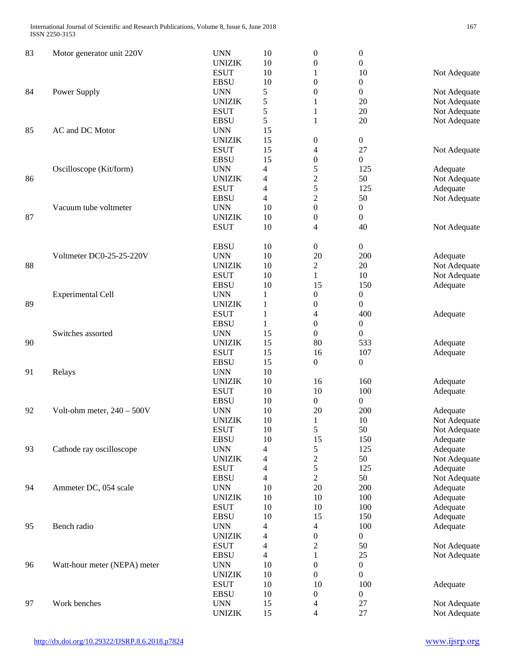| 83 | Motor generator unit 220V    | <b>UNN</b>    | 10             | $\boldsymbol{0}$         | $\boldsymbol{0}$ |              |
|----|------------------------------|---------------|----------------|--------------------------|------------------|--------------|
|    |                              | <b>UNIZIK</b> | 10             | $\boldsymbol{0}$         | $\boldsymbol{0}$ |              |
|    |                              | <b>ESUT</b>   | 10             | 1                        | 10               | Not Adequate |
|    |                              | <b>EBSU</b>   | 10             | $\boldsymbol{0}$         | $\boldsymbol{0}$ |              |
| 84 | Power Supply                 | <b>UNN</b>    | 5              | $\boldsymbol{0}$         | 0                | Not Adequate |
|    |                              | <b>UNIZIK</b> | 5              | 1                        | 20               | Not Adequate |
|    |                              | <b>ESUT</b>   | 5              | 1                        | 20               | Not Adequate |
|    |                              | <b>EBSU</b>   | 5              | 1                        | 20               | Not Adequate |
| 85 | AC and DC Motor              | <b>UNN</b>    | 15             |                          |                  |              |
|    |                              |               | 15             |                          |                  |              |
|    |                              | <b>UNIZIK</b> |                | $\boldsymbol{0}$         | $\boldsymbol{0}$ |              |
|    |                              | <b>ESUT</b>   | 15             | $\overline{\mathcal{L}}$ | 27               | Not Adequate |
|    |                              | <b>EBSU</b>   | 15             | $\boldsymbol{0}$         | $\overline{0}$   |              |
|    | Oscilloscope (Kit/form)      | <b>UNN</b>    | 4              | 5                        | 125              | Adequate     |
| 86 |                              | <b>UNIZIK</b> | 4              | $\overline{c}$           | 50               | Not Adequate |
|    |                              | <b>ESUT</b>   | 4              | 5                        | 125              | Adequate     |
|    |                              | <b>EBSU</b>   | 4              | $\overline{c}$           | 50               | Not Adequate |
|    | Vacuum tube voltmeter        | <b>UNN</b>    | 10             | $\boldsymbol{0}$         | $\boldsymbol{0}$ |              |
| 87 |                              | <b>UNIZIK</b> | 10             | $\boldsymbol{0}$         | $\boldsymbol{0}$ |              |
|    |                              | <b>ESUT</b>   | 10             | 4                        | 40               | Not Adequate |
|    |                              |               |                |                          |                  |              |
|    |                              | <b>EBSU</b>   | 10             | $\boldsymbol{0}$         | $\boldsymbol{0}$ |              |
|    | Voltmeter DC0-25-25-220V     | <b>UNN</b>    | 10             | 20                       | 200              | Adequate     |
| 88 |                              | <b>UNIZIK</b> | 10             | $\boldsymbol{2}$         | 20               | Not Adequate |
|    |                              | <b>ESUT</b>   | 10             | $\mathbf{1}$             | 10               | Not Adequate |
|    |                              | <b>EBSU</b>   | 10             | 15                       | 150              |              |
|    |                              |               |                |                          |                  | Adequate     |
|    | <b>Experimental Cell</b>     | <b>UNN</b>    | 1              | $\boldsymbol{0}$         | $\boldsymbol{0}$ |              |
| 89 |                              | <b>UNIZIK</b> | 1              | $\boldsymbol{0}$         | $\overline{0}$   |              |
|    |                              | <b>ESUT</b>   | 1              | 4                        | 400              | Adequate     |
|    |                              | <b>EBSU</b>   | 1              | $\boldsymbol{0}$         | $\boldsymbol{0}$ |              |
|    | Switches assorted            | <b>UNN</b>    | 15             | $\boldsymbol{0}$         | $\theta$         |              |
| 90 |                              | <b>UNIZIK</b> | 15             | 80                       | 533              | Adequate     |
|    |                              | <b>ESUT</b>   | 15             | 16                       | 107              | Adequate     |
|    |                              | <b>EBSU</b>   | 15             | $\boldsymbol{0}$         | $\overline{0}$   |              |
| 91 | Relays                       | <b>UNN</b>    | 10             |                          |                  |              |
|    |                              | <b>UNIZIK</b> | 10             | 16                       | 160              | Adequate     |
|    |                              | <b>ESUT</b>   | 10             | 10                       | 100              | Adequate     |
|    |                              | <b>EBSU</b>   | 10             | $\boldsymbol{0}$         | $\boldsymbol{0}$ |              |
| 92 | Volt-ohm meter, $240 - 500V$ | <b>UNN</b>    | 10             | 20                       | 200              | Adequate     |
|    |                              | <b>UNIZIK</b> | 10             | $\mathbf{1}$             | 10               | Not Adequate |
|    |                              | <b>ESUT</b>   | 10             | 5                        | 50               | Not Adequate |
|    |                              |               |                |                          |                  |              |
|    |                              | <b>EBSU</b>   | 10             | 15                       | 150              | Adequate     |
| 93 | Cathode ray oscilloscope     | <b>UNN</b>    | 4              | 5                        | 125              | Adequate     |
|    |                              | <b>UNIZIK</b> | 4              | $\overline{c}$           | 50               | Not Adequate |
|    |                              | <b>ESUT</b>   | 4              | 5                        | 125              | Adequate     |
|    |                              | <b>EBSU</b>   | $\overline{4}$ | $\overline{c}$           | 50               | Not Adequate |
| 94 | Ammeter DC, 054 scale        | <b>UNN</b>    | 10             | 20                       | 200              | Adequate     |
|    |                              | <b>UNIZIK</b> | $10\,$         | 10                       | 100              | Adequate     |
|    |                              | <b>ESUT</b>   | 10             | 10                       | 100              | Adequate     |
|    |                              | <b>EBSU</b>   | 10             | 15                       | 150              | Adequate     |
| 95 | Bench radio                  | <b>UNN</b>    | 4              | 4                        | 100              | Adequate     |
|    |                              | <b>UNIZIK</b> | 4              | $\boldsymbol{0}$         | $\boldsymbol{0}$ |              |
|    |                              | <b>ESUT</b>   | 4              | $\overline{c}$           | 50               | Not Adequate |
|    |                              | <b>EBSU</b>   | 4              | $\mathbf{1}$             | 25               | Not Adequate |
| 96 | Watt-hour meter (NEPA) meter | <b>UNN</b>    | 10             | $\boldsymbol{0}$         | $\boldsymbol{0}$ |              |
|    |                              |               |                |                          |                  |              |
|    |                              | <b>UNIZIK</b> | 10             | $\boldsymbol{0}$         | $\boldsymbol{0}$ |              |
|    |                              | <b>ESUT</b>   | 10             | 10                       | 100              | Adequate     |
|    |                              | <b>EBSU</b>   | 10             | $\boldsymbol{0}$         | $\boldsymbol{0}$ |              |
| 97 | Work benches                 | <b>UNN</b>    | 15             | $\overline{\mathcal{L}}$ | 27               | Not Adequate |
|    |                              | <b>UNIZIK</b> | 15             | 4                        | 27               | Not Adequate |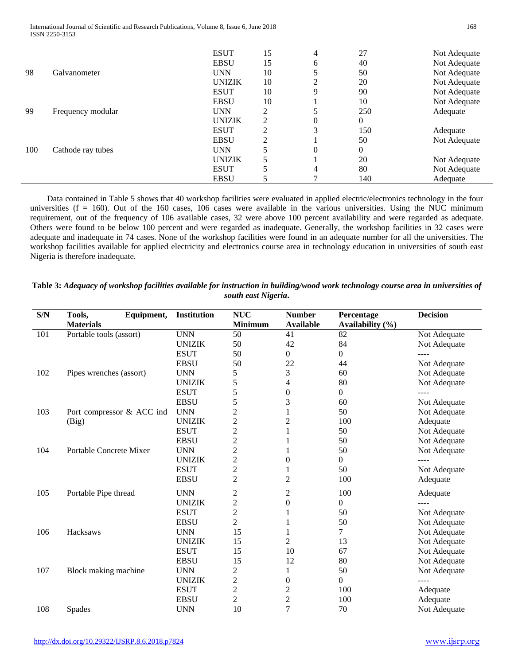International Journal of Scientific and Research Publications, Volume 8, Issue 6, June 2018 168 ISSN 2250-3153

|     |                   | <b>ESUT</b>   | 15             | 4        | 27       | Not Adequate |
|-----|-------------------|---------------|----------------|----------|----------|--------------|
|     |                   | <b>EBSU</b>   | 15             | 6        | 40       | Not Adequate |
| 98  | Galvanometer      | <b>UNN</b>    | 10             |          | 50       | Not Adequate |
|     |                   | <b>UNIZIK</b> | 10             | C        | 20       | Not Adequate |
|     |                   | <b>ESUT</b>   | 10             | 9        | 90       | Not Adequate |
|     |                   | <b>EBSU</b>   | 10             |          | 10       | Not Adequate |
| 99  | Frequency modular | <b>UNN</b>    | 2              |          | 250      | Adequate     |
|     |                   | <b>UNIZIK</b> | $\mathfrak{D}$ | $\theta$ | $\Omega$ |              |
|     |                   | <b>ESUT</b>   | ↑              | 3        | 150      | Adequate     |
|     |                   | <b>EBSU</b>   | C              |          | 50       | Not Adequate |
| 100 | Cathode ray tubes | <b>UNN</b>    |                | $\Omega$ | $\Omega$ |              |
|     |                   | <b>UNIZIK</b> |                |          | 20       | Not Adequate |
|     |                   | <b>ESUT</b>   |                | 4        | 80       | Not Adequate |
|     |                   | <b>EBSU</b>   |                |          | 140      | Adequate     |

Data contained in Table 5 shows that 40 workshop facilities were evaluated in applied electric/electronics technology in the four universities  $(f = 160)$ . Out of the 160 cases, 106 cases were available in the various universities. Using the NUC minimum requirement, out of the frequency of 106 available cases, 32 were above 100 percent availability and were regarded as adequate. Others were found to be below 100 percent and were regarded as inadequate. Generally, the workshop facilities in 32 cases were adequate and inadequate in 74 cases. None of the workshop facilities were found in an adequate number for all the universities. The workshop facilities available for applied electricity and electronics course area in technology education in universities of south east Nigeria is therefore inadequate.

| $\mathbf{S}/\mathbf{N}$ | Equipment,<br>Tools,      | <b>Institution</b> | <b>NUC</b>              | <b>Number</b>    | Percentage           | <b>Decision</b> |
|-------------------------|---------------------------|--------------------|-------------------------|------------------|----------------------|-----------------|
|                         | <b>Materials</b>          |                    | <b>Minimum</b>          | <b>Available</b> | Availability $(\% )$ |                 |
| 101                     | Portable tools (assort)   | <b>UNN</b>         | 50                      | 41               | 82                   | Not Adequate    |
|                         |                           | <b>UNIZIK</b>      | 50                      | 42               | 84                   | Not Adequate    |
|                         |                           | <b>ESUT</b>        | 50                      | $\theta$         | $\Omega$             |                 |
|                         |                           | <b>EBSU</b>        | 50                      | 22               | 44                   | Not Adequate    |
| 102                     | Pipes wrenches (assort)   | <b>UNN</b>         | 5                       | 3                | 60                   | Not Adequate    |
|                         |                           | <b>UNIZIK</b>      | 5                       | 4                | 80                   | Not Adequate    |
|                         |                           | <b>ESUT</b>        | 5                       | $\theta$         | $\overline{0}$       |                 |
|                         |                           | <b>EBSU</b>        | 5                       | 3                | 60                   | Not Adequate    |
| 103                     | Port compressor & ACC ind | <b>UNN</b>         | $\overline{c}$          |                  | 50                   | Not Adequate    |
|                         | (Big)                     | <b>UNIZIK</b>      | $\overline{c}$          | $\overline{c}$   | 100                  | Adequate        |
|                         |                           | <b>ESUT</b>        | $\overline{c}$          | 1                | 50                   | Not Adequate    |
|                         |                           | <b>EBSU</b>        | $\overline{c}$          |                  | 50                   | Not Adequate    |
| 104                     | Portable Concrete Mixer   | <b>UNN</b>         | $\overline{c}$          |                  | 50                   | Not Adequate    |
|                         |                           | <b>UNIZIK</b>      | $\overline{c}$          | $\Omega$         | $\overline{0}$       |                 |
|                         |                           | <b>ESUT</b>        | $\overline{\mathbf{c}}$ |                  | 50                   | Not Adequate    |
|                         |                           | <b>EBSU</b>        | $\overline{c}$          | $\overline{2}$   | 100                  | Adequate        |
| 105                     | Portable Pipe thread      | <b>UNN</b>         | $\overline{c}$          | 2                | 100                  | Adequate        |
|                         |                           | <b>UNIZIK</b>      | $\overline{c}$          | $\boldsymbol{0}$ | $\boldsymbol{0}$     | ----            |
|                         |                           | <b>ESUT</b>        | $\overline{c}$          | 1                | 50                   | Not Adequate    |
|                         |                           | <b>EBSU</b>        | $\overline{2}$          |                  | 50                   | Not Adequate    |
| 106                     | Hacksaws                  | <b>UNN</b>         | 15                      | 1                | $\overline{7}$       | Not Adequate    |
|                         |                           | <b>UNIZIK</b>      | 15                      | 2                | 13                   | Not Adequate    |
|                         |                           | <b>ESUT</b>        | 15                      | 10               | 67                   | Not Adequate    |
|                         |                           | <b>EBSU</b>        | 15                      | 12               | 80                   | Not Adequate    |
| 107                     | Block making machine      | <b>UNN</b>         | $\overline{c}$          | 1                | 50                   | Not Adequate    |
|                         |                           | <b>UNIZIK</b>      | $\overline{c}$          | $\Omega$         | $\Omega$             |                 |
|                         |                           | <b>ESUT</b>        | $\overline{c}$          | 2                | 100                  | Adequate        |
|                         |                           | <b>EBSU</b>        | $\overline{c}$          | 2                | 100                  | Adequate        |
| 108                     | Spades                    | <b>UNN</b>         | 10                      | $\overline{7}$   | 70                   | Not Adequate    |

**Table 3:** *Adequacy of workshop facilities available for instruction in building/wood work technology course area in universities of south east Nigeria***.**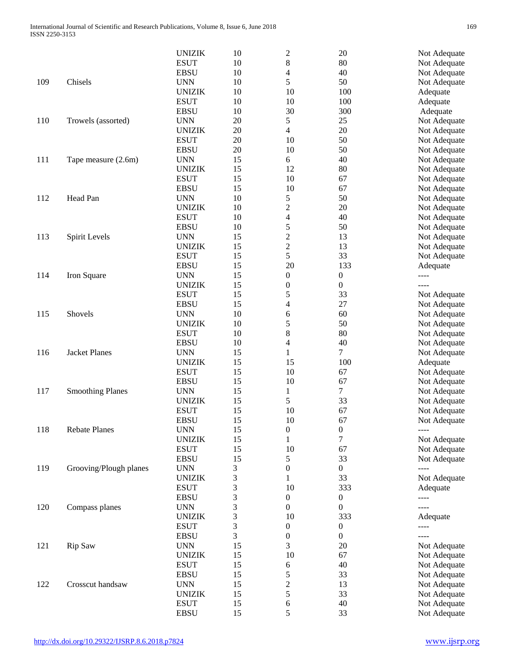|     |                         | <b>UNIZIK</b> | 10 | $\overline{c}$           | 20               | Not Adequate |
|-----|-------------------------|---------------|----|--------------------------|------------------|--------------|
|     |                         | <b>ESUT</b>   | 10 | 8                        | 80               | Not Adequate |
|     |                         | <b>EBSU</b>   | 10 | $\overline{4}$           | 40               | Not Adequate |
| 109 | Chisels                 | <b>UNN</b>    | 10 | 5                        | 50               | Not Adequate |
|     |                         | <b>UNIZIK</b> | 10 | 10                       | 100              | Adequate     |
|     |                         | <b>ESUT</b>   | 10 | 10                       | 100              | Adequate     |
|     |                         | <b>EBSU</b>   | 10 | 30                       | 300              | Adequate     |
| 110 |                         | <b>UNN</b>    | 20 | 5                        | 25               |              |
|     | Trowels (assorted)      |               |    |                          |                  | Not Adequate |
|     |                         | <b>UNIZIK</b> | 20 | $\overline{\mathcal{L}}$ | 20               | Not Adequate |
|     |                         | <b>ESUT</b>   | 20 | 10                       | 50               | Not Adequate |
|     |                         | <b>EBSU</b>   | 20 | 10                       | 50               | Not Adequate |
| 111 | Tape measure (2.6m)     | <b>UNN</b>    | 15 | 6                        | 40               | Not Adequate |
|     |                         | <b>UNIZIK</b> | 15 | 12                       | 80               | Not Adequate |
|     |                         | <b>ESUT</b>   | 15 | 10                       | 67               | Not Adequate |
|     |                         | <b>EBSU</b>   | 15 | 10                       | 67               | Not Adequate |
| 112 | Head Pan                | <b>UNN</b>    | 10 | 5                        | 50               | Not Adequate |
|     |                         | <b>UNIZIK</b> | 10 | $\overline{c}$           | 20               | Not Adequate |
|     |                         | <b>ESUT</b>   | 10 | $\overline{\mathcal{L}}$ | 40               | Not Adequate |
|     |                         | <b>EBSU</b>   | 10 | 5                        | 50               | Not Adequate |
| 113 | Spirit Levels           | <b>UNN</b>    | 15 | $\overline{c}$           | 13               | Not Adequate |
|     |                         | <b>UNIZIK</b> | 15 | $\overline{c}$           | 13               | Not Adequate |
|     |                         | <b>ESUT</b>   | 15 | 5                        | 33               | Not Adequate |
|     |                         | <b>EBSU</b>   | 15 | 20                       | 133              |              |
|     |                         |               | 15 |                          |                  | Adequate     |
| 114 | Iron Square             | <b>UNN</b>    |    | $\boldsymbol{0}$         | $\boldsymbol{0}$ | $- - - -$    |
|     |                         | <b>UNIZIK</b> | 15 | $\boldsymbol{0}$         | $\boldsymbol{0}$ | ----         |
|     |                         | <b>ESUT</b>   | 15 | 5                        | 33               | Not Adequate |
|     |                         | <b>EBSU</b>   | 15 | 4                        | 27               | Not Adequate |
| 115 | Shovels                 | <b>UNN</b>    | 10 | 6                        | 60               | Not Adequate |
|     |                         | <b>UNIZIK</b> | 10 | 5                        | 50               | Not Adequate |
|     |                         | <b>ESUT</b>   | 10 | 8                        | 80               | Not Adequate |
|     |                         | <b>EBSU</b>   | 10 | 4                        | 40               | Not Adequate |
| 116 | <b>Jacket Planes</b>    | <b>UNN</b>    | 15 | $\mathbf{1}$             | $\tau$           | Not Adequate |
|     |                         | <b>UNIZIK</b> | 15 | 15                       | 100              | Adequate     |
|     |                         | <b>ESUT</b>   | 15 | 10                       | 67               | Not Adequate |
|     |                         | <b>EBSU</b>   | 15 | 10                       | 67               | Not Adequate |
| 117 | <b>Smoothing Planes</b> | <b>UNN</b>    | 15 | $\mathbf{1}$             | $\tau$           | Not Adequate |
|     |                         | <b>UNIZIK</b> | 15 | 5                        | 33               | Not Adequate |
|     |                         | <b>ESUT</b>   | 15 | 10                       | 67               | Not Adequate |
|     |                         | <b>EBSU</b>   | 15 | 10                       | 67               | Not Adequate |
| 118 | <b>Rebate Planes</b>    | <b>UNN</b>    |    |                          |                  |              |
|     |                         |               | 15 | $\boldsymbol{0}$         | $\boldsymbol{0}$ | ----         |
|     |                         | <b>UNIZIK</b> | 15 | $\mathbf{1}$             | 7                | Not Adequate |
|     |                         | <b>ESUT</b>   | 15 | 10                       | 67               | Not Adequate |
|     |                         | <b>EBSU</b>   | 15 | 5                        | 33               | Not Adequate |
| 119 | Grooving/Plough planes  | <b>UNN</b>    | 3  | $\boldsymbol{0}$         | $\boldsymbol{0}$ | ----         |
|     |                         | <b>UNIZIK</b> | 3  | 1                        | 33               | Not Adequate |
|     |                         | <b>ESUT</b>   | 3  | 10                       | 333              | Adequate     |
|     |                         | <b>EBSU</b>   | 3  | $\boldsymbol{0}$         | $\boldsymbol{0}$ | ----         |
| 120 | Compass planes          | <b>UNN</b>    | 3  | $\boldsymbol{0}$         | $\boldsymbol{0}$ | ----         |
|     |                         | <b>UNIZIK</b> | 3  | 10                       | 333              | Adequate     |
|     |                         | <b>ESUT</b>   | 3  | $\boldsymbol{0}$         | $\boldsymbol{0}$ | ----         |
|     |                         | <b>EBSU</b>   | 3  | $\boldsymbol{0}$         | $\boldsymbol{0}$ | $---$        |
| 121 | Rip Saw                 | <b>UNN</b>    | 15 | 3                        | 20               | Not Adequate |
|     |                         | <b>UNIZIK</b> | 15 | 10                       | 67               | Not Adequate |
|     |                         | <b>ESUT</b>   | 15 | 6                        | 40               | Not Adequate |
|     |                         |               |    |                          |                  |              |
|     |                         | <b>EBSU</b>   | 15 | 5                        | 33               | Not Adequate |
| 122 | Crosscut handsaw        | <b>UNN</b>    | 15 | $\overline{c}$           | 13               | Not Adequate |
|     |                         | <b>UNIZIK</b> | 15 | 5                        | 33               | Not Adequate |
|     |                         | <b>ESUT</b>   | 15 | 6                        | 40               | Not Adequate |
|     |                         | <b>EBSU</b>   | 15 | 5                        | 33               | Not Adequate |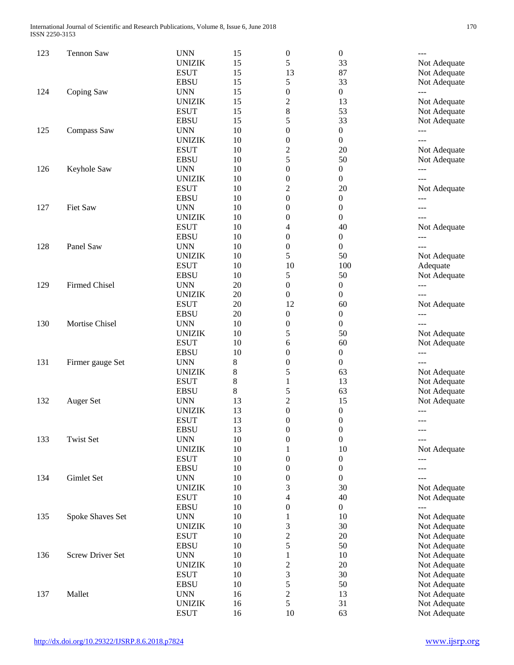| 123 | <b>Tennon Saw</b>       | <b>UNN</b>    | 15 | $\boldsymbol{0}$        | 0                | $---$               |
|-----|-------------------------|---------------|----|-------------------------|------------------|---------------------|
|     |                         | <b>UNIZIK</b> | 15 | 5                       | 33               | Not Adequate        |
|     |                         | <b>ESUT</b>   | 15 | 13                      | 87               | Not Adequate        |
|     |                         | <b>EBSU</b>   | 15 | 5                       | 33               | Not Adequate        |
| 124 | Coping Saw              | <b>UNN</b>    | 15 | $\boldsymbol{0}$        | $\boldsymbol{0}$ | $ -$                |
|     |                         | <b>UNIZIK</b> | 15 | $\overline{c}$          | 13               | Not Adequate        |
|     |                         | <b>ESUT</b>   | 15 | 8                       | 53               | Not Adequate        |
|     |                         | <b>EBSU</b>   | 15 | 5                       | 33               | Not Adequate        |
| 125 | Compass Saw             | <b>UNN</b>    | 10 | 0                       | $\boldsymbol{0}$ | ---                 |
|     |                         | <b>UNIZIK</b> | 10 | 0                       | $\boldsymbol{0}$ |                     |
|     |                         | <b>ESUT</b>   | 10 | $\overline{\mathbf{c}}$ | 20               | Not Adequate        |
|     |                         | <b>EBSU</b>   | 10 | 5                       | 50               | Not Adequate        |
| 126 | Keyhole Saw             | <b>UNN</b>    | 10 | 0                       | 0                | $ -$                |
|     |                         | <b>UNIZIK</b> | 10 | $\boldsymbol{0}$        | $\boldsymbol{0}$ | $---$               |
|     |                         | <b>ESUT</b>   | 10 | $\overline{c}$          | 20               | Not Adequate        |
|     |                         | <b>EBSU</b>   | 10 | 0                       | $\boldsymbol{0}$ | ---                 |
| 127 | Fiet Saw                | <b>UNN</b>    | 10 | $\boldsymbol{0}$        | 0                | ---                 |
|     |                         | <b>UNIZIK</b> | 10 | 0                       | $\boldsymbol{0}$ | $---$               |
|     |                         | <b>ESUT</b>   | 10 | 4                       | 40               | Not Adequate        |
|     |                         | <b>EBSU</b>   | 10 | 0                       | 0                | $\qquad \qquad - -$ |
| 128 | Panel Saw               | <b>UNN</b>    | 10 | 0                       | $\boldsymbol{0}$ | $---$               |
|     |                         | <b>UNIZIK</b> | 10 | 5                       | 50               | Not Adequate        |
|     |                         | <b>ESUT</b>   | 10 | 10                      | 100              | Adequate            |
|     |                         | <b>EBSU</b>   | 10 | 5                       | 50               | Not Adequate        |
| 129 | <b>Firmed Chisel</b>    | <b>UNN</b>    | 20 | 0                       | 0                | $\qquad \qquad - -$ |
|     |                         | <b>UNIZIK</b> | 20 | $\boldsymbol{0}$        | $\boldsymbol{0}$ | $---$               |
|     |                         | <b>ESUT</b>   | 20 | 12                      | 60               | Not Adequate        |
|     |                         | <b>EBSU</b>   | 20 | 0                       | $\boldsymbol{0}$ | ---                 |
| 130 | Mortise Chisel          | <b>UNN</b>    | 10 | 0                       | $\boldsymbol{0}$ | $---$               |
|     |                         | <b>UNIZIK</b> | 10 | 5                       | 50               | Not Adequate        |
|     |                         | <b>ESUT</b>   | 10 | 6                       | 60               | Not Adequate        |
|     |                         | <b>EBSU</b>   | 10 | 0                       | $\boldsymbol{0}$ | $\qquad \qquad - -$ |
| 131 | Firmer gauge Set        | <b>UNN</b>    | 8  | 0                       | $\boldsymbol{0}$ | $---$               |
|     |                         | <b>UNIZIK</b> | 8  | 5                       | 63               | Not Adequate        |
|     |                         | <b>ESUT</b>   | 8  | 1                       | 13               | Not Adequate        |
|     |                         | <b>EBSU</b>   | 8  | 5                       | 63               | Not Adequate        |
| 132 | Auger Set               | <b>UNN</b>    | 13 | $\overline{c}$          | 15               | Not Adequate        |
|     |                         | <b>UNIZIK</b> | 13 | 0                       | 0                | $ -$                |
|     |                         | <b>ESUT</b>   | 13 | $\theta$                | $\theta$         | ---                 |
|     |                         | <b>EBSU</b>   | 13 | $\boldsymbol{0}$        | $\boldsymbol{0}$ |                     |
| 133 | <b>Twist Set</b>        | <b>UNN</b>    | 10 | 0                       | $\boldsymbol{0}$ | ---                 |
|     |                         | <b>UNIZIK</b> | 10 | 1                       | 10               | Not Adequate        |
|     |                         | <b>ESUT</b>   | 10 | 0                       | $\boldsymbol{0}$ | ---                 |
|     |                         | <b>EBSU</b>   | 10 | $\boldsymbol{0}$        | $\boldsymbol{0}$ | ---                 |
| 134 | Gimlet Set              | <b>UNN</b>    | 10 | $\boldsymbol{0}$        | $\boldsymbol{0}$ |                     |
|     |                         | <b>UNIZIK</b> | 10 | 3                       | 30               | Not Adequate        |
|     |                         | <b>ESUT</b>   | 10 | 4                       | 40               | Not Adequate        |
|     |                         | <b>EBSU</b>   | 10 | 0                       | $\boldsymbol{0}$ | ---                 |
| 135 | Spoke Shaves Set        | <b>UNN</b>    | 10 | 1                       | 10               | Not Adequate        |
|     |                         | <b>UNIZIK</b> | 10 | 3                       | 30               | Not Adequate        |
|     |                         | <b>ESUT</b>   | 10 | $\overline{c}$          | 20               | Not Adequate        |
|     |                         | <b>EBSU</b>   | 10 | 5                       | 50               | Not Adequate        |
| 136 | <b>Screw Driver Set</b> | <b>UNN</b>    | 10 | 1                       | 10               | Not Adequate        |
|     |                         | <b>UNIZIK</b> | 10 | $\overline{c}$          | 20               | Not Adequate        |
|     |                         | <b>ESUT</b>   | 10 | 3                       | 30               |                     |
|     |                         |               | 10 |                         |                  | Not Adequate        |
|     |                         | <b>EBSU</b>   |    | 5                       | 50               | Not Adequate        |
| 137 | Mallet                  | <b>UNN</b>    | 16 | $\overline{c}$          | 13               | Not Adequate        |
|     |                         | <b>UNIZIK</b> | 16 | 5                       | 31               | Not Adequate        |
|     |                         | <b>ESUT</b>   | 16 | 10                      | 63               | Not Adequate        |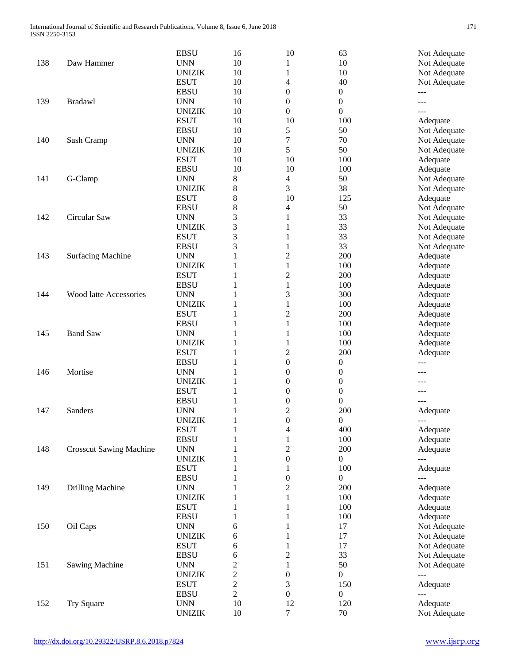|     |                                | <b>EBSU</b>   | 16                                        | 10                      | 63               | Not Adequate |
|-----|--------------------------------|---------------|-------------------------------------------|-------------------------|------------------|--------------|
| 138 | Daw Hammer                     | <b>UNN</b>    | 10                                        | 1                       | 10               | Not Adequate |
|     |                                | <b>UNIZIK</b> | 10                                        | $\mathbf{1}$            | 10               | Not Adequate |
|     |                                | <b>ESUT</b>   | 10                                        | 4                       | 40               | Not Adequate |
| 139 |                                | <b>EBSU</b>   | 10                                        | $\boldsymbol{0}$        | $\boldsymbol{0}$ | ---          |
|     | <b>Bradawl</b>                 | <b>UNN</b>    | 10                                        | 0                       | $\boldsymbol{0}$ |              |
|     |                                | <b>UNIZIK</b> | 10                                        | $\boldsymbol{0}$        | $\boldsymbol{0}$ |              |
|     |                                | <b>ESUT</b>   | 10                                        | 10                      | 100              | Adequate     |
|     |                                | <b>EBSU</b>   | 10                                        | 5                       | 50               | Not Adequate |
| 140 | Sash Cramp                     | <b>UNN</b>    | 10                                        | 7                       | 70               | Not Adequate |
|     |                                | <b>UNIZIK</b> | 10                                        | 5                       | 50               | Not Adequate |
|     |                                | <b>ESUT</b>   | 10                                        | 10                      | 100              | Adequate     |
| 141 | G-Clamp                        | <b>EBSU</b>   | 10                                        | 10                      | 100              | Adequate     |
|     |                                | <b>UNN</b>    | 8                                         | 4                       | 50               | Not Adequate |
|     |                                | <b>UNIZIK</b> | 8                                         | 3                       | 38               | Not Adequate |
|     |                                | <b>ESUT</b>   | 8                                         | 10                      | 125              | Adequate     |
|     |                                | <b>EBSU</b>   | 8                                         | 4                       | 50               | Not Adequate |
| 142 | Circular Saw                   | <b>UNN</b>    | 3                                         | $\mathbf{1}$            | 33               | Not Adequate |
|     |                                | <b>UNIZIK</b> | 3                                         | $\mathbf{1}$            | 33               |              |
|     |                                | <b>ESUT</b>   |                                           |                         | 33               | Not Adequate |
|     |                                |               | 3                                         | $\mathbf{1}$            |                  | Not Adequate |
|     |                                | <b>EBSU</b>   | 3                                         | $\mathbf{1}$            | 33               | Not Adequate |
| 143 | <b>Surfacing Machine</b>       | <b>UNN</b>    | 1                                         | $\overline{c}$          | 200              | Adequate     |
|     |                                | <b>UNIZIK</b> | 1                                         | $\mathbf{1}$            | 100              | Adequate     |
|     |                                | <b>ESUT</b>   | 1                                         | $\overline{c}$          | 200              | Adequate     |
|     |                                | <b>EBSU</b>   | 1                                         | $\mathbf{1}$            | 100              | Adequate     |
| 144 | Wood latte Accessories         | <b>UNN</b>    | 1                                         | 3                       | 300              | Adequate     |
|     |                                | <b>UNIZIK</b> | 1                                         | $\mathbf{1}$            | 100              | Adequate     |
|     |                                | <b>ESUT</b>   | $\mathbf{1}$                              | $\overline{c}$          | 200              | Adequate     |
|     | <b>Band Saw</b>                | <b>EBSU</b>   | 1                                         | $\mathbf{1}$            | 100              | Adequate     |
| 145 |                                | <b>UNN</b>    | 1                                         | $\mathbf{1}$            | 100              | Adequate     |
|     |                                | <b>UNIZIK</b> | 1                                         | 1                       | 100              | Adequate     |
|     |                                | <b>ESUT</b>   | 1                                         | $\overline{c}$          | 200              | Adequate     |
|     | Mortise                        | <b>EBSU</b>   | 1                                         | $\boldsymbol{0}$        | 0                | ---          |
| 146 |                                | <b>UNN</b>    | 1                                         | 0                       | 0                |              |
|     |                                | <b>UNIZIK</b> | 1                                         | 0                       | 0                |              |
|     |                                | <b>ESUT</b>   | 1                                         | 0                       | $\boldsymbol{0}$ |              |
|     |                                | <b>EBSU</b>   | 1                                         | 0                       | $\boldsymbol{0}$ |              |
| 147 | Sanders                        | <b>UNN</b>    | 1                                         | $\overline{c}$          | 200              | Adequate     |
|     |                                | <b>UNIZIK</b> | $\mathbf{1}$                              | $\overline{0}$          | $\overline{0}$   | ---          |
|     |                                | <b>ESUT</b>   | $\mathbf{1}$                              | 4                       | 400              | Adequate     |
|     |                                | <b>EBSU</b>   | 1                                         | $\mathbf{1}$            | 100              | Adequate     |
| 148 | <b>Crosscut Sawing Machine</b> | <b>UNN</b>    | 1                                         | $\overline{c}$          | 200              | Adequate     |
|     |                                | <b>UNIZIK</b> | 1                                         | $\boldsymbol{0}$        | $\boldsymbol{0}$ | ---          |
|     |                                | <b>ESUT</b>   | 1                                         | 1                       | 100              | Adequate     |
|     |                                | <b>EBSU</b>   | 1                                         | $\boldsymbol{0}$        | $\boldsymbol{0}$ | $---$        |
| 149 | <b>Drilling Machine</b>        | <b>UNN</b>    | 1                                         | $\overline{\mathbf{c}}$ | 200              | Adequate     |
|     |                                | <b>UNIZIK</b> | 1                                         | $\mathbf{1}$            | 100              | Adequate     |
|     |                                | <b>ESUT</b>   | 1                                         | 1                       | 100              | Adequate     |
|     | Oil Caps                       | <b>EBSU</b>   | 1                                         | 1                       | 100              | Adequate     |
| 150 |                                | <b>UNN</b>    | 6                                         | $\mathbf{1}$            | 17               | Not Adequate |
|     |                                | <b>UNIZIK</b> | 6                                         | $\mathbf{1}$            | 17               | Not Adequate |
|     |                                | <b>ESUT</b>   | 6                                         | $\mathbf{1}$            | 17               | Not Adequate |
| 151 | <b>Sawing Machine</b>          | <b>EBSU</b>   | 6                                         | $\overline{c}$          | 33               | Not Adequate |
|     |                                | <b>UNN</b>    | $\overline{c}$                            | $\mathbf{1}$            | 50               | Not Adequate |
|     |                                | <b>UNIZIK</b> |                                           | $\boldsymbol{0}$        | $\boldsymbol{0}$ | $---$        |
|     |                                |               | $\overline{\mathbf{c}}$                   |                         |                  |              |
|     |                                | <b>ESUT</b>   | $\overline{\mathbf{c}}$<br>$\overline{c}$ | 3                       | 150              | Adequate     |
|     |                                | <b>EBSU</b>   |                                           | $\boldsymbol{0}$        | $\boldsymbol{0}$ | $- - -$      |
| 152 | <b>Try Square</b>              | <b>UNN</b>    | 10                                        | 12                      | 120              | Adequate     |
|     |                                | <b>UNIZIK</b> | 10                                        | $\tau$                  | 70               | Not Adequate |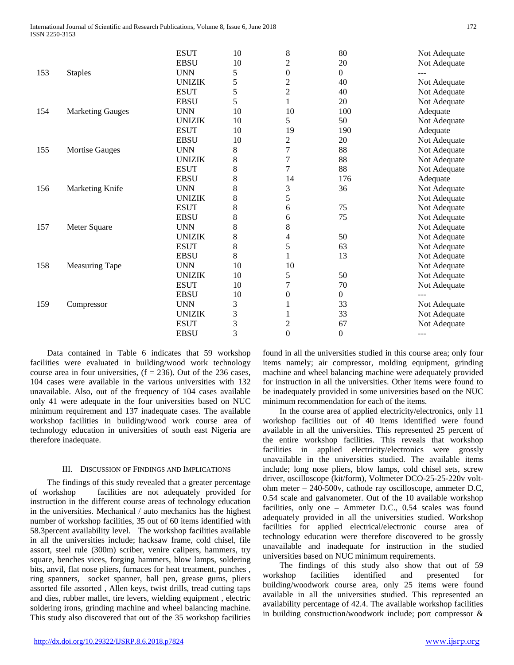|     |                         | <b>ESUT</b>   | 10          | 8                | 80             | Not Adequate |
|-----|-------------------------|---------------|-------------|------------------|----------------|--------------|
|     |                         | <b>EBSU</b>   | 10          | $\overline{c}$   | 20             | Not Adequate |
| 153 | <b>Staples</b>          | <b>UNN</b>    | 5           | $\boldsymbol{0}$ | $\overline{0}$ |              |
|     |                         | <b>UNIZIK</b> | 5           | $\overline{c}$   | 40             | Not Adequate |
|     |                         | <b>ESUT</b>   | 5           | $\overline{c}$   | 40             | Not Adequate |
|     |                         | <b>EBSU</b>   | 5           | 1                | 20             | Not Adequate |
| 154 | <b>Marketing Gauges</b> | <b>UNN</b>    | 10          | 10               | 100            | Adequate     |
|     |                         | <b>UNIZIK</b> | 10          | 5                | 50             | Not Adequate |
|     |                         | <b>ESUT</b>   | 10          | 19               | 190            | Adequate     |
|     |                         | <b>EBSU</b>   | 10          | $\overline{c}$   | 20             | Not Adequate |
| 155 | <b>Mortise Gauges</b>   | <b>UNN</b>    | 8           | $\overline{7}$   | 88             | Not Adequate |
|     |                         | <b>UNIZIK</b> | 8           | $\boldsymbol{7}$ | 88             | Not Adequate |
|     |                         | <b>ESUT</b>   | $8\,$       | $\overline{7}$   | 88             | Not Adequate |
|     |                         | <b>EBSU</b>   | $\,$ 8 $\,$ | 14               | 176            | Adequate     |
| 156 | Marketing Knife         | <b>UNN</b>    | 8           | 3                | 36             | Not Adequate |
|     |                         | <b>UNIZIK</b> | 8           | 5                |                | Not Adequate |
|     |                         | <b>ESUT</b>   | $\,8\,$     | 6                | 75             | Not Adequate |
|     |                         | <b>EBSU</b>   | 8           | 6                | 75             | Not Adequate |
| 157 | Meter Square            | <b>UNN</b>    | 8           | $8\,$            |                | Not Adequate |
|     |                         | <b>UNIZIK</b> | 8           | 4                | 50             | Not Adequate |
|     |                         | <b>ESUT</b>   | $\,8\,$     | 5                | 63             | Not Adequate |
|     |                         | <b>EBSU</b>   | 8           |                  | 13             | Not Adequate |
| 158 | <b>Measuring Tape</b>   | <b>UNN</b>    | 10          | 10               |                | Not Adequate |
|     |                         | <b>UNIZIK</b> | 10          | 5                | 50             | Not Adequate |
|     |                         | <b>ESUT</b>   | 10          | $\overline{7}$   | 70             | Not Adequate |
|     |                         | <b>EBSU</b>   | 10          | $\boldsymbol{0}$ | $\overline{0}$ | ---          |
| 159 | Compressor              | <b>UNN</b>    | 3           |                  | 33             | Not Adequate |
|     |                         | <b>UNIZIK</b> | 3           |                  | 33             | Not Adequate |
|     |                         | <b>ESUT</b>   | 3           | $\overline{c}$   | 67             | Not Adequate |
|     |                         | <b>EBSU</b>   | 3           | $\overline{0}$   | $\theta$       | $---$        |

 Data contained in Table 6 indicates that 59 workshop facilities were evaluated in building/wood work technology course area in four universities,  $(f = 236)$ . Out of the 236 cases, 104 cases were available in the various universities with 132 unavailable. Also, out of the frequency of 104 cases available only 41 were adequate in the four universities based on NUC minimum requirement and 137 inadequate cases. The available workshop facilities in building/wood work course area of technology education in universities of south east Nigeria are therefore inadequate.

# III. DISCUSSION OF FINDINGS AND IMPLICATIONS

 The findings of this study revealed that a greater percentage of workshop facilities are not adequately provided for instruction in the different course areas of technology education in the universities. Mechanical / auto mechanics has the highest number of workshop facilities, 35 out of 60 items identified with 58.3percent availability level. The workshop facilities available in all the universities include; hacksaw frame, cold chisel, file assort, steel rule (300m) scriber, venire calipers, hammers, try square, benches vices, forging hammers, blow lamps, soldering bits, anvil, flat nose pliers, furnaces for heat treatment, punches , ring spanners, socket spanner, ball pen, grease gums, pliers assorted file assorted , Allen keys, twist drills, tread cutting taps and dies, rubber mallet, tire levers, wielding equipment , electric soldering irons, grinding machine and wheel balancing machine. This study also discovered that out of the 35 workshop facilities

found in all the universities studied in this course area; only four items namely; air compressor, molding equipment, grinding machine and wheel balancing machine were adequately provided for instruction in all the universities. Other items were found to be inadequately provided in some universities based on the NUC minimum recommendation for each of the items.

 In the course area of applied electricity/electronics, only 11 workshop facilities out of 40 items identified were found available in all the universities. This represented 25 percent of the entire workshop facilities. This reveals that workshop facilities in applied electricity/electronics were grossly unavailable in the universities studied. The available items include; long nose pliers, blow lamps, cold chisel sets, screw driver, oscilloscope (kit/form), Voltmeter DCO-25-25-220v voltohm meter – 240-500v, cathode ray oscilloscope, ammeter D.C, 0.54 scale and galvanometer. Out of the 10 available workshop facilities, only one – Ammeter D.C., 0.54 scales was found adequately provided in all the universities studied. Workshop facilities for applied electrical/electronic course area of technology education were therefore discovered to be grossly unavailable and inadequate for instruction in the studied universities based on NUC minimum requirements.

 The findings of this study also show that out of 59 workshop facilities identified and presented for building/woodwork course area, only 25 items were found available in all the universities studied. This represented an availability percentage of 42.4. The available workshop facilities in building construction/woodwork include; port compressor &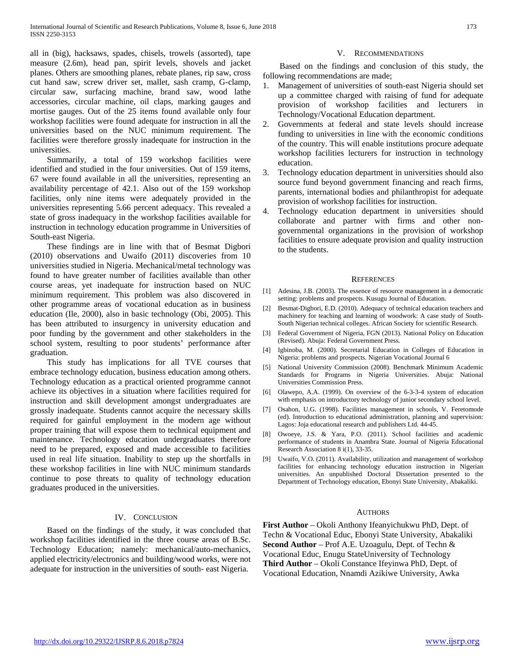all in (big), hacksaws, spades, chisels, trowels (assorted), tape measure (2.6m), head pan, spirit levels, shovels and jacket planes. Others are smoothing planes, rebate planes, rip saw, cross cut hand saw, screw driver set, mallet, sash cramp, G-clamp, circular saw, surfacing machine, brand saw, wood lathe accessories, circular machine, oil claps, marking gauges and mortise gauges. Out of the 25 items found available only four workshop facilities were found adequate for instruction in all the universities based on the NUC minimum requirement. The facilities were therefore grossly inadequate for instruction in the universities.

 Summarily, a total of 159 workshop facilities were identified and studied in the four universities. Out of 159 items, 67 were found available in all the universities, representing an availability percentage of 42.1. Also out of the 159 workshop facilities, only nine items were adequately provided in the universities representing 5.66 percent adequacy. This revealed a state of gross inadequacy in the workshop facilities available for instruction in technology education programme in Universities of South-east Nigeria.

 These findings are in line with that of Besmat Digbori (2010) observations and Uwaifo (2011) discoveries from 10 universities studied in Nigeria. Mechanical/metal technology was found to have greater number of facilities available than other course areas, yet inadequate for instruction based on NUC minimum requirement. This problem was also discovered in other programme areas of vocational education as in business education (Ile, 2000), also in basic technology (Obi, 2005). This has been attributed to insurgency in university education and poor funding by the government and other stakeholders in the school system, resulting to poor students' performance after graduation.

 This study has implications for all TVE courses that embrace technology education, business education among others. Technology education as a practical oriented programme cannot achieve its objectives in a situation where facilities required for instruction and skill development amongst undergraduates are grossly inadequate. Students cannot acquire the necessary skills required for gainful employment in the modern age without proper training that will expose them to technical equipment and maintenance. Technology education undergraduates therefore need to be prepared, exposed and made accessible to facilities used in real life situation. Inability to step up the shortfalls in these workshop facilities in line with NUC minimum standards continue to pose threats to quality of technology education graduates produced in the universities.

## IV. CONCLUSION

 Based on the findings of the study, it was concluded that workshop facilities identified in the three course areas of B.Sc. Technology Education; namely: mechanical/auto-mechanics, applied electricity/electronics and building/wood works, were not adequate for instruction in the universities of south- east Nigeria.

## V. RECOMMENDATIONS

 Based on the findings and conclusion of this study, the following recommendations are made;

- 1. Management of universities of south-east Nigeria should set up a committee charged with raising of fund for adequate provision of workshop facilities and lecturers in Technology/Vocational Education department.
- 2. Governments at federal and state levels should increase funding to universities in line with the economic conditions of the country. This will enable institutions procure adequate workshop facilities lecturers for instruction in technology education.
- 3. Technology education department in universities should also source fund beyond government financing and reach firms, parents, international bodies and philanthropist for adequate provision of workshop facilities for instruction.
- 4. Technology education department in universities should collaborate and partner with firms and other nongovernmental organizations in the provision of workshop facilities to ensure adequate provision and quality instruction to the students.

#### **REFERENCES**

- [1] Adesina, J.B. (2003). The essence of resource management in a democratic setting: problems and prospects. Kusugu Journal of Education.
- [2] Besmat-Digbori, E.D. (2010). Adequacy of technical education teachers and machinery for teaching and learning of woodwork: A case study of South-South Nigerian technical colleges. African Society for scientific Research.
- [3] Federal Government of Nigeria, FGN (2013). National Policy on Education (Revised). Abuja: Federal Government Press.
- [4] Igbinoba, M. (2000). Secretarial Education in Colleges of Education in Nigeria: problems and prospects. Nigerian Vocational Journal 6
- [5] National University Commission (2008). Benchmark Minimum Academic Standards for Programs in Nigeria Universities. Abuja: National Universities Commission Press.
- [6] Olawepo, A.A. (1999). On overview of the 6-3-3-4 system of education with emphasis on introductory technology of junior secondary school level.
- [7] Osahon, U.G. (1998). Facilities management in schools, V. Feretomode (ed). Introduction to educational administration, planning and supervision: Lagos: Joja educational research and publishers Ltd. 44-45.
- [8] Owoeye, J.S. & Yara, P.O. (2011). School facilities and academic performance of students in Anambra State. Journal of Nigeria Educational Research Association 8 i(1), 33-35.
- [9] Uwaifo, V.O. (2011). Availability, utilization and management of workshop facilities for enhancing technology education instruction in Nigerian universities. An unpublished Doctoral Dissertation presented to the Department of Technology education, Ebonyi State University, Abakaliki.

#### AUTHORS

**First Author** – Okoli Anthony Ifeanyichukwu PhD, Dept. of Techn & Vocational Educ, Ebonyi State University, Abakaliki **Second Author** – Prof A.E. Uzoagulu, Dept. of Techn & Vocational Educ, Enugu StateUniversity of Technology **Third Author** – Okoli Constance Ifeyinwa PhD, Dept. of Vocational Education, Nnamdi Azikiwe University, Awka